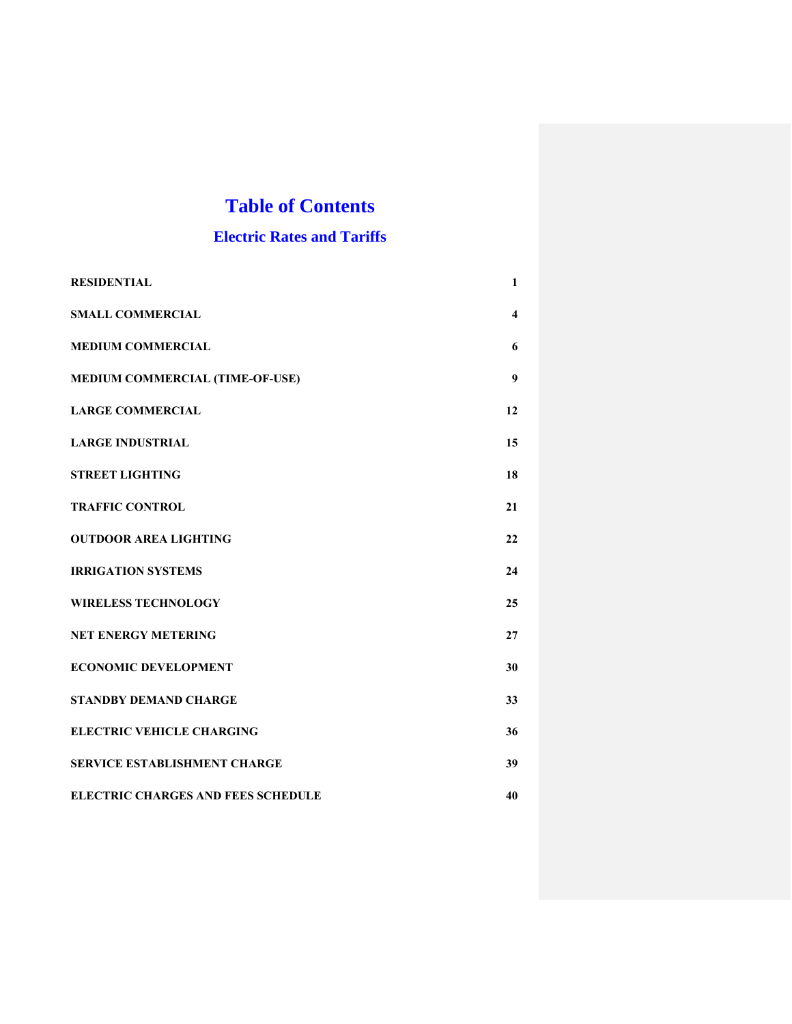# **Table of Contents**

# **Electric Rates and Tariffs**

| <b>RESIDENTIAL</b>                        | 1  |
|-------------------------------------------|----|
| <b>SMALL COMMERCIAL</b>                   | 4  |
| <b>MEDIUM COMMERCIAL</b>                  | 6  |
| MEDIUM COMMERCIAL (TIME-OF-USE)           | 9  |
| <b>LARGE COMMERCIAL</b>                   | 12 |
| <b>LARGE INDUSTRIAL</b>                   | 15 |
| <b>STREET LIGHTING</b>                    | 18 |
| <b>TRAFFIC CONTROL</b>                    | 21 |
| <b>OUTDOOR AREA LIGHTING</b>              | 22 |
| <b>IRRIGATION SYSTEMS</b>                 | 24 |
| <b>WIRELESS TECHNOLOGY</b>                | 25 |
| <b>NET ENERGY METERING</b>                | 27 |
| <b>ECONOMIC DEVELOPMENT</b>               | 30 |
| <b>STANDBY DEMAND CHARGE</b>              | 33 |
| <b>ELECTRIC VEHICLE CHARGING</b>          | 36 |
| <b>SERVICE ESTABLISHMENT CHARGE</b>       | 39 |
| <b>ELECTRIC CHARGES AND FEES SCHEDULE</b> | 40 |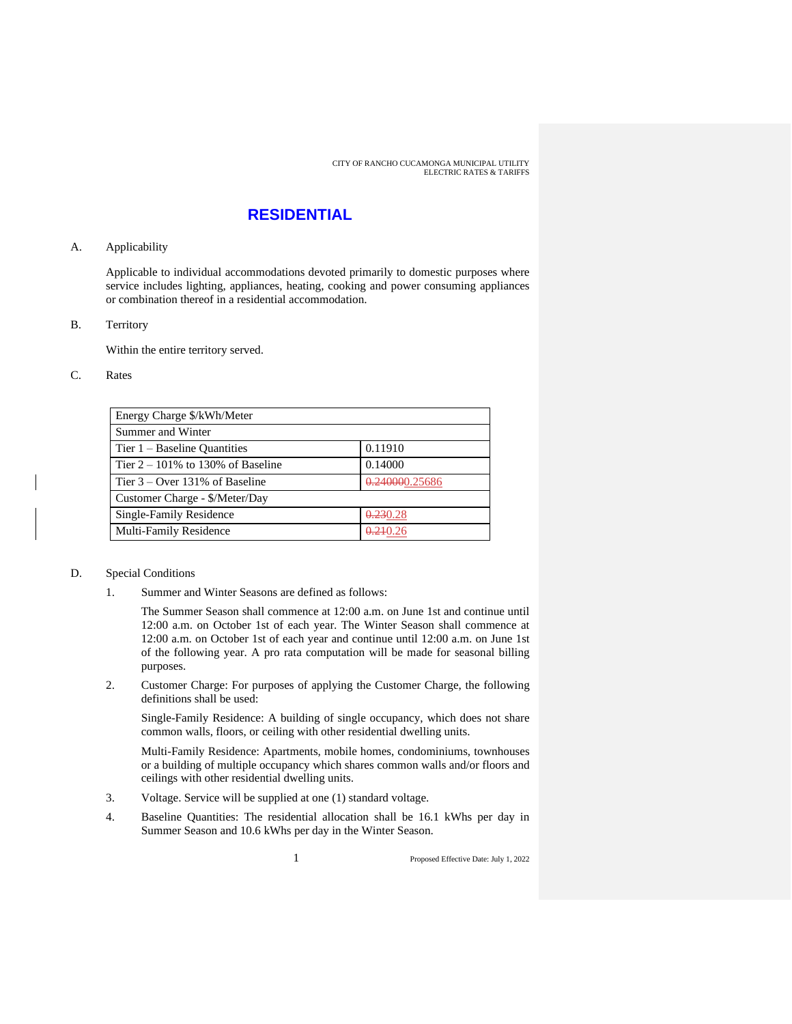### **RESIDENTIAL**

#### A. Applicability

Applicable to individual accommodations devoted primarily to domestic purposes where service includes lighting, appliances, heating, cooking and power consuming appliances or combination thereof in a residential accommodation.

B. Territory

Within the entire territory served.

#### C. Rates

| Energy Charge \$/kWh/Meter           |                      |
|--------------------------------------|----------------------|
| Summer and Winter                    |                      |
| Tier $1 -$ Baseline Quantities       | 0.11910              |
| Tier $2 - 101\%$ to 130% of Baseline | 0.14000              |
| Tier $3 -$ Over 131% of Baseline     | 0.240000.25686       |
| Customer Charge - \$/Meter/Day       |                      |
| Single-Family Residence              | 0.230.28             |
| Multi-Family Residence               | <del>0.21</del> 0.26 |

#### D. Special Conditions

1. Summer and Winter Seasons are defined as follows:

The Summer Season shall commence at 12:00 a.m. on June 1st and continue until 12:00 a.m. on October 1st of each year. The Winter Season shall commence at 12:00 a.m. on October 1st of each year and continue until 12:00 a.m. on June 1st of the following year. A pro rata computation will be made for seasonal billing purposes.

2. Customer Charge: For purposes of applying the Customer Charge, the following definitions shall be used:

Single-Family Residence: A building of single occupancy, which does not share common walls, floors, or ceiling with other residential dwelling units.

Multi-Family Residence: Apartments, mobile homes, condominiums, townhouses or a building of multiple occupancy which shares common walls and/or floors and ceilings with other residential dwelling units.

- 3. Voltage. Service will be supplied at one (1) standard voltage.
- 4. Baseline Quantities: The residential allocation shall be 16.1 kWhs per day in Summer Season and 10.6 kWhs per day in the Winter Season.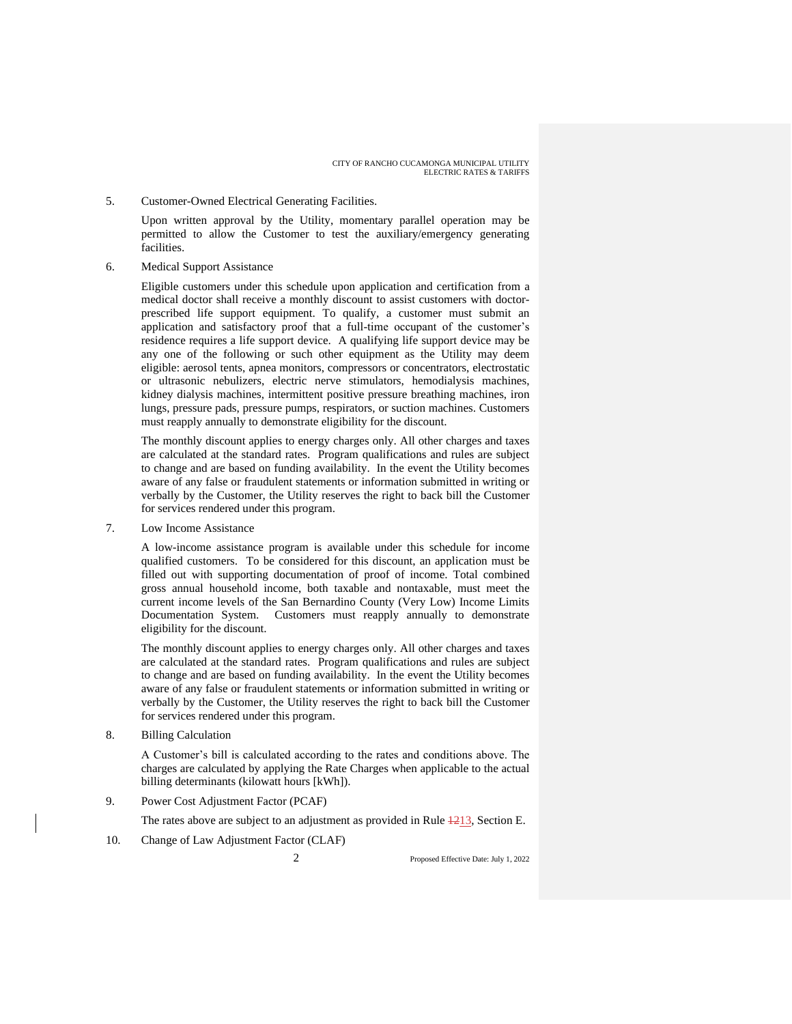5. Customer-Owned Electrical Generating Facilities.

Upon written approval by the Utility, momentary parallel operation may be permitted to allow the Customer to test the auxiliary/emergency generating facilities.

6. Medical Support Assistance

Eligible customers under this schedule upon application and certification from a medical doctor shall receive a monthly discount to assist customers with doctorprescribed life support equipment. To qualify, a customer must submit an application and satisfactory proof that a full-time occupant of the customer's residence requires a life support device. A qualifying life support device may be any one of the following or such other equipment as the Utility may deem eligible: aerosol tents, apnea monitors, compressors or concentrators, electrostatic or ultrasonic nebulizers, electric nerve stimulators, hemodialysis machines, kidney dialysis machines, intermittent positive pressure breathing machines, iron lungs, pressure pads, pressure pumps, respirators, or suction machines. Customers must reapply annually to demonstrate eligibility for the discount.

The monthly discount applies to energy charges only. All other charges and taxes are calculated at the standard rates. Program qualifications and rules are subject to change and are based on funding availability. In the event the Utility becomes aware of any false or fraudulent statements or information submitted in writing or verbally by the Customer, the Utility reserves the right to back bill the Customer for services rendered under this program.

7. Low Income Assistance

A low-income assistance program is available under this schedule for income qualified customers. To be considered for this discount, an application must be filled out with supporting documentation of proof of income. Total combined gross annual household income, both taxable and nontaxable, must meet the current income levels of the San Bernardino County (Very Low) Income Limits Documentation System. Customers must reapply annually to demonstrate eligibility for the discount.

The monthly discount applies to energy charges only. All other charges and taxes are calculated at the standard rates. Program qualifications and rules are subject to change and are based on funding availability. In the event the Utility becomes aware of any false or fraudulent statements or information submitted in writing or verbally by the Customer, the Utility reserves the right to back bill the Customer for services rendered under this program.

8. Billing Calculation

A Customer's bill is calculated according to the rates and conditions above. The charges are calculated by applying the Rate Charges when applicable to the actual billing determinants (kilowatt hours [kWh]).

9. Power Cost Adjustment Factor (PCAF)

The rates above are subject to an adjustment as provided in Rule  $\frac{1213}{1213}$ , Section E.

10. Change of Law Adjustment Factor (CLAF)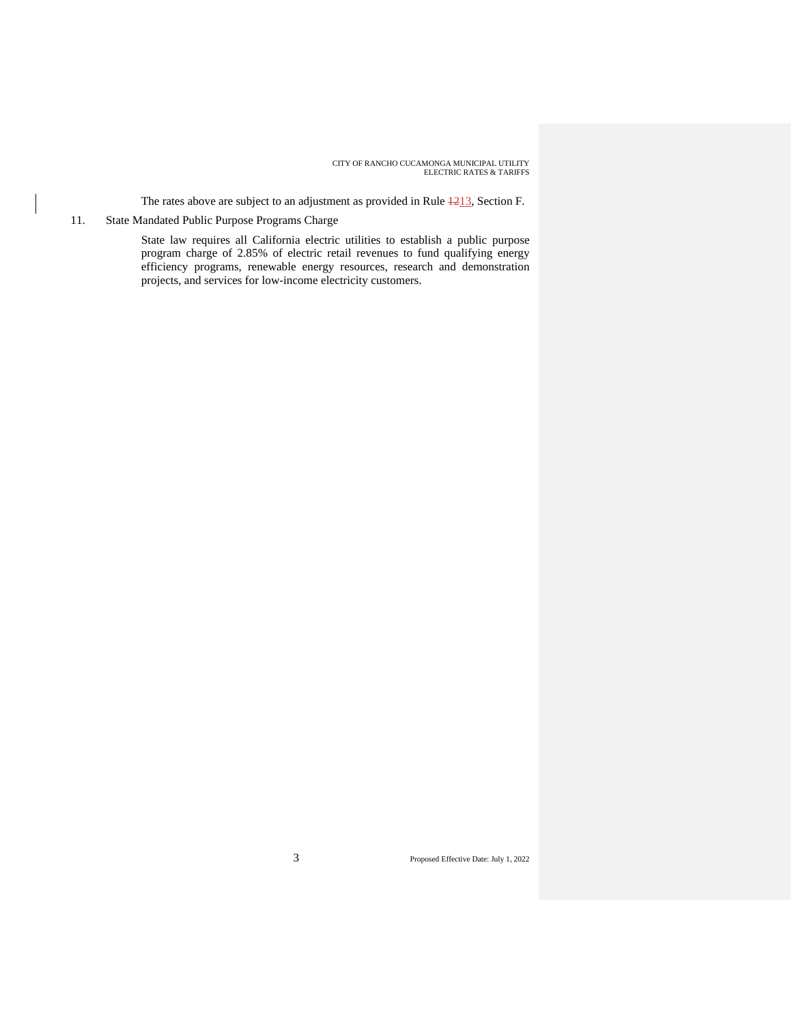The rates above are subject to an adjustment as provided in Rule  $\frac{1213}{3}$ , Section F.

### 11. State Mandated Public Purpose Programs Charge

State law requires all California electric utilities to establish a public purpose program charge of 2.85% of electric retail revenues to fund qualifying energy efficiency programs, renewable energy resources, research and demonstration projects, and services for low-income electricity customers.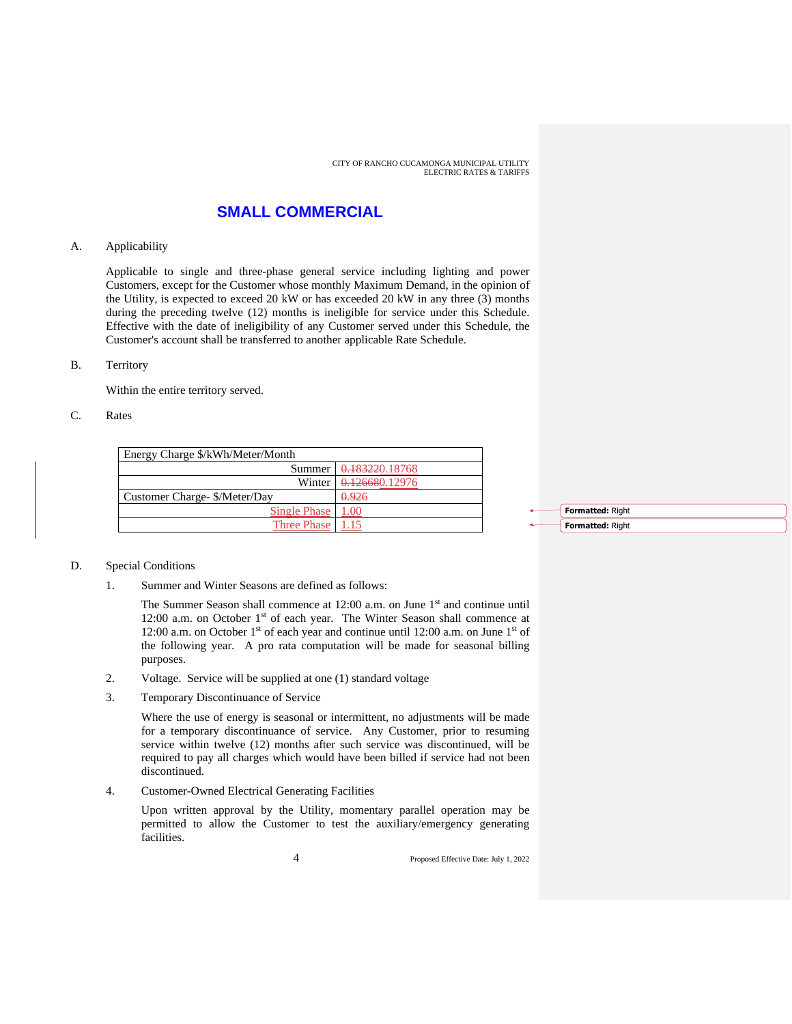### **SMALL COMMERCIAL**

#### A. Applicability

Applicable to single and three-phase general service including lighting and power Customers, except for the Customer whose monthly Maximum Demand, in the opinion of the Utility, is expected to exceed 20 kW or has exceeded 20 kW in any three (3) months during the preceding twelve (12) months is ineligible for service under this Schedule. Effective with the date of ineligibility of any Customer served under this Schedule, the Customer's account shall be transferred to another applicable Rate Schedule.

#### B. Territory

Within the entire territory served.

#### C. Rates

| Energy Charge \$/kWh/Meter/Month |                                |  |
|----------------------------------|--------------------------------|--|
|                                  | Summer 0.183220.18768          |  |
|                                  | Winter $\sqrt{0.126680.12976}$ |  |
| Customer Charge- \$/Meter/Day    | 0.926                          |  |
| Single Phase                     | 1.00                           |  |
| Three Phase                      | 1.15                           |  |

**Formatted:** Right **Formatted:** Right

#### D. Special Conditions

1. Summer and Winter Seasons are defined as follows:

The Summer Season shall commence at 12:00 a.m. on June 1<sup>st</sup> and continue until 12:00 a.m. on October  $1<sup>st</sup>$  of each year. The Winter Season shall commence at 12:00 a.m. on October 1<sup>st</sup> of each year and continue until 12:00 a.m. on June 1<sup>st</sup> of the following year. A pro rata computation will be made for seasonal billing purposes.

- 2. Voltage. Service will be supplied at one (1) standard voltage
- 3. Temporary Discontinuance of Service

Where the use of energy is seasonal or intermittent, no adjustments will be made for a temporary discontinuance of service. Any Customer, prior to resuming service within twelve (12) months after such service was discontinued, will be required to pay all charges which would have been billed if service had not been discontinued.

4. Customer-Owned Electrical Generating Facilities

Upon written approval by the Utility, momentary parallel operation may be permitted to allow the Customer to test the auxiliary/emergency generating facilities.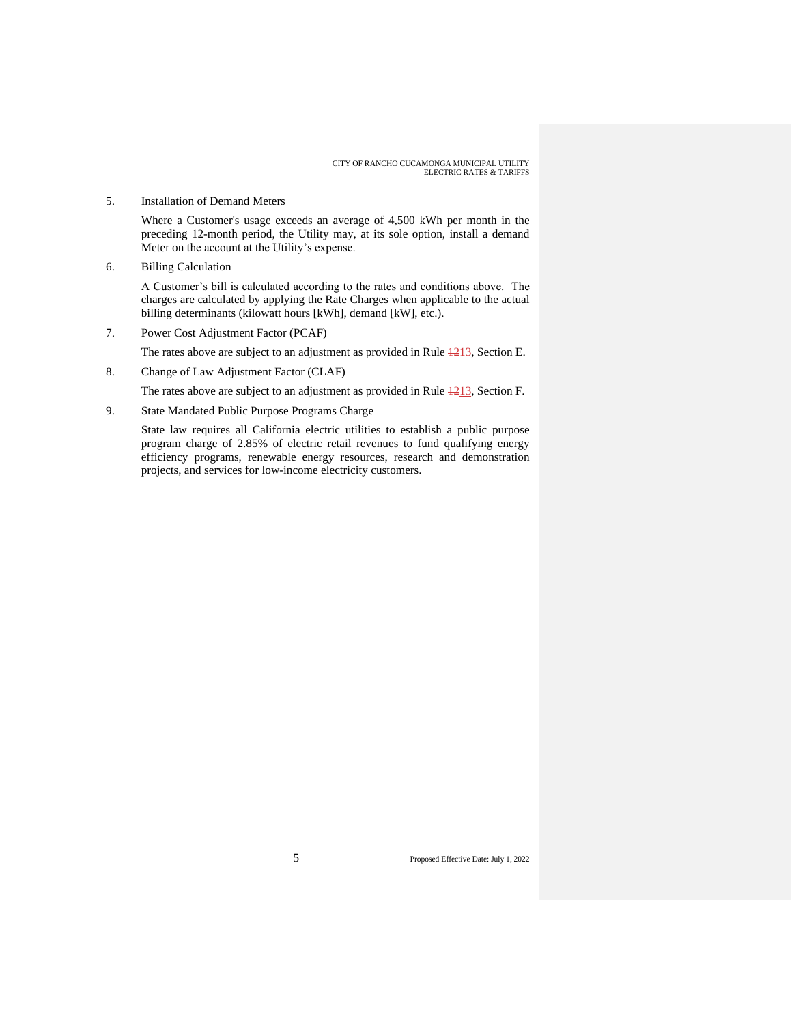#### 5. Installation of Demand Meters

Where a Customer's usage exceeds an average of 4,500 kWh per month in the preceding 12-month period, the Utility may, at its sole option, install a demand Meter on the account at the Utility's expense.

6. Billing Calculation

A Customer's bill is calculated according to the rates and conditions above. The charges are calculated by applying the Rate Charges when applicable to the actual billing determinants (kilowatt hours [kWh], demand [kW], etc.).

7. Power Cost Adjustment Factor (PCAF)

The rates above are subject to an adjustment as provided in Rule  $\frac{1213}{2}$ , Section E.

8. Change of Law Adjustment Factor (CLAF)

The rates above are subject to an adjustment as provided in Rule  $\frac{4213}{3}$ , Section F.

9. State Mandated Public Purpose Programs Charge

State law requires all California electric utilities to establish a public purpose program charge of 2.85% of electric retail revenues to fund qualifying energy efficiency programs, renewable energy resources, research and demonstration projects, and services for low-income electricity customers.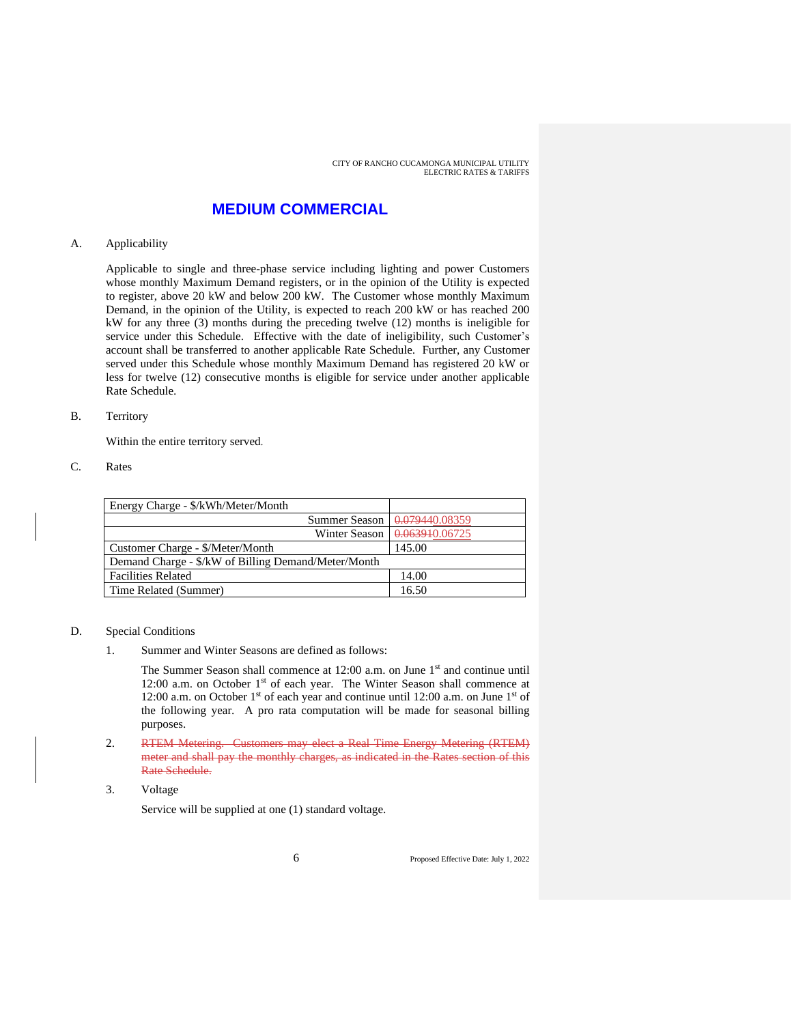### **MEDIUM COMMERCIAL**

#### A. Applicability

Applicable to single and three-phase service including lighting and power Customers whose monthly Maximum Demand registers, or in the opinion of the Utility is expected to register, above 20 kW and below 200 kW. The Customer whose monthly Maximum Demand, in the opinion of the Utility, is expected to reach 200 kW or has reached 200 kW for any three (3) months during the preceding twelve (12) months is ineligible for service under this Schedule. Effective with the date of ineligibility, such Customer's account shall be transferred to another applicable Rate Schedule. Further, any Customer served under this Schedule whose monthly Maximum Demand has registered 20 kW or less for twelve (12) consecutive months is eligible for service under another applicable Rate Schedule.

#### B. Territory

Within the entire territory served.

C. Rates

| Energy Charge - \$/kWh/Meter/Month                  |                                       |  |
|-----------------------------------------------------|---------------------------------------|--|
|                                                     | Summer Season $\sqrt{0.079440.08359}$ |  |
|                                                     | Winter Season   0.063940.06725        |  |
| Customer Charge - \$/Meter/Month                    | 145.00                                |  |
| Demand Charge - \$/kW of Billing Demand/Meter/Month |                                       |  |
| <b>Facilities Related</b>                           | 14.00                                 |  |
| Time Related (Summer)                               | 16.50                                 |  |

#### D. Special Conditions

1. Summer and Winter Seasons are defined as follows:

The Summer Season shall commence at 12:00 a.m. on June 1<sup>st</sup> and continue until 12:00 a.m. on October 1<sup>st</sup> of each year. The Winter Season shall commence at 12:00 a.m. on October 1st of each year and continue until 12:00 a.m. on June 1st of the following year. A pro rata computation will be made for seasonal billing purposes.

- 2. RTEM Metering. Customers may elect a Real Time Energy Metering (RTEM) meter and shall pay the monthly charges, as indicated in the Rates section of this Rate Schedule.
- 3. Voltage

Service will be supplied at one (1) standard voltage.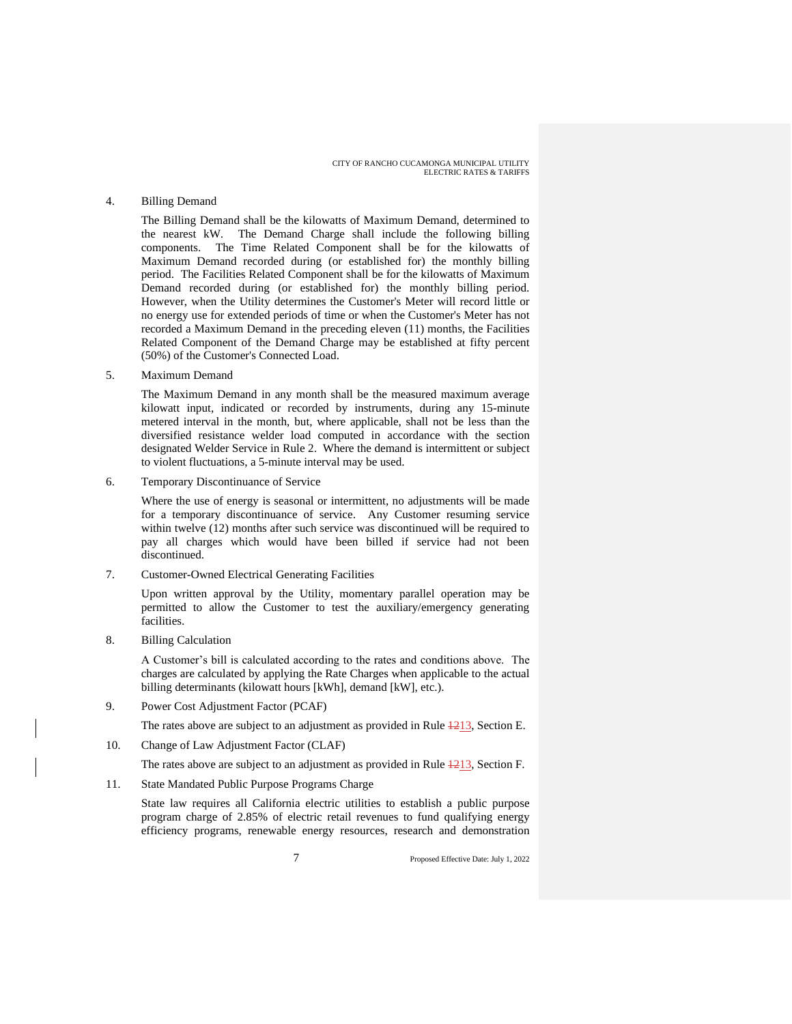#### 4. Billing Demand

The Billing Demand shall be the kilowatts of Maximum Demand, determined to the nearest kW. The Demand Charge shall include the following billing components. The Time Related Component shall be for the kilowatts of Maximum Demand recorded during (or established for) the monthly billing period. The Facilities Related Component shall be for the kilowatts of Maximum Demand recorded during (or established for) the monthly billing period. However, when the Utility determines the Customer's Meter will record little or no energy use for extended periods of time or when the Customer's Meter has not recorded a Maximum Demand in the preceding eleven (11) months, the Facilities Related Component of the Demand Charge may be established at fifty percent (50%) of the Customer's Connected Load.

5. Maximum Demand

The Maximum Demand in any month shall be the measured maximum average kilowatt input, indicated or recorded by instruments, during any 15-minute metered interval in the month, but, where applicable, shall not be less than the diversified resistance welder load computed in accordance with the section designated Welder Service in Rule 2. Where the demand is intermittent or subject to violent fluctuations, a 5-minute interval may be used.

6. Temporary Discontinuance of Service

Where the use of energy is seasonal or intermittent, no adjustments will be made for a temporary discontinuance of service. Any Customer resuming service within twelve (12) months after such service was discontinued will be required to pay all charges which would have been billed if service had not been discontinued.

7. Customer-Owned Electrical Generating Facilities

Upon written approval by the Utility, momentary parallel operation may be permitted to allow the Customer to test the auxiliary/emergency generating facilities.

8. Billing Calculation

A Customer's bill is calculated according to the rates and conditions above. The charges are calculated by applying the Rate Charges when applicable to the actual billing determinants (kilowatt hours [kWh], demand [kW], etc.).

9. Power Cost Adjustment Factor (PCAF)

The rates above are subject to an adjustment as provided in Rule  $\frac{4213}{2}$ , Section E.

- 10. Change of Law Adjustment Factor (CLAF)
	- The rates above are subject to an adjustment as provided in Rule  $\frac{1213}{213}$ , Section F.
- 11. State Mandated Public Purpose Programs Charge

State law requires all California electric utilities to establish a public purpose program charge of 2.85% of electric retail revenues to fund qualifying energy efficiency programs, renewable energy resources, research and demonstration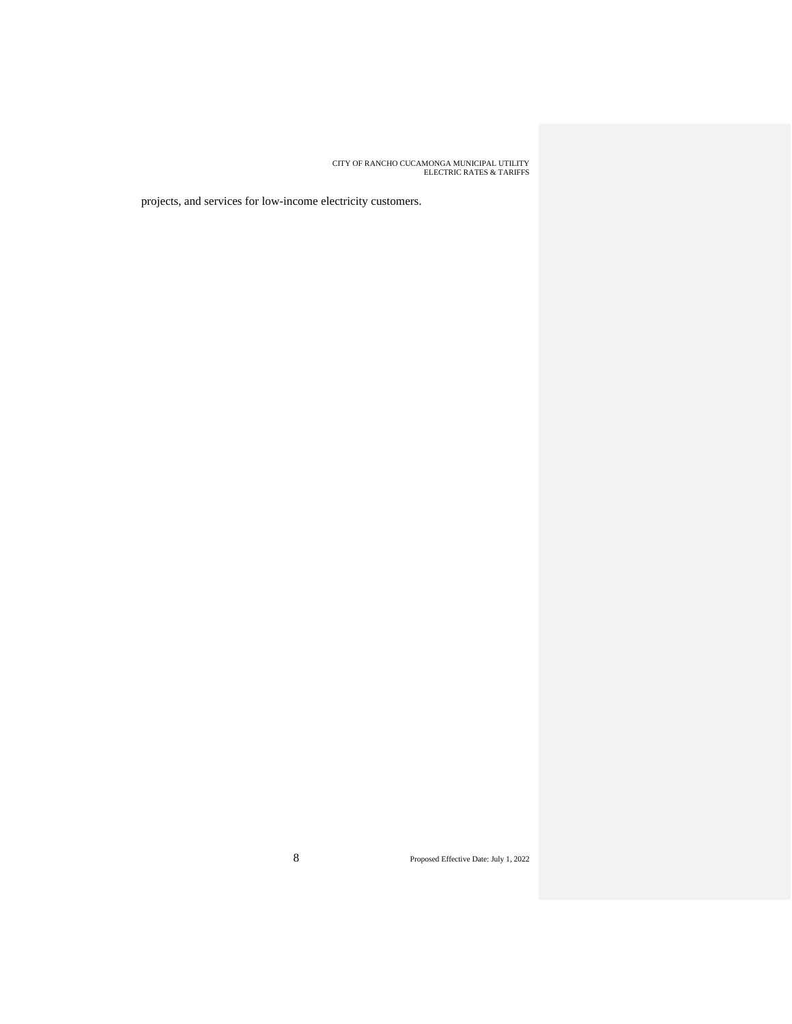projects, and services for low-income electricity customers.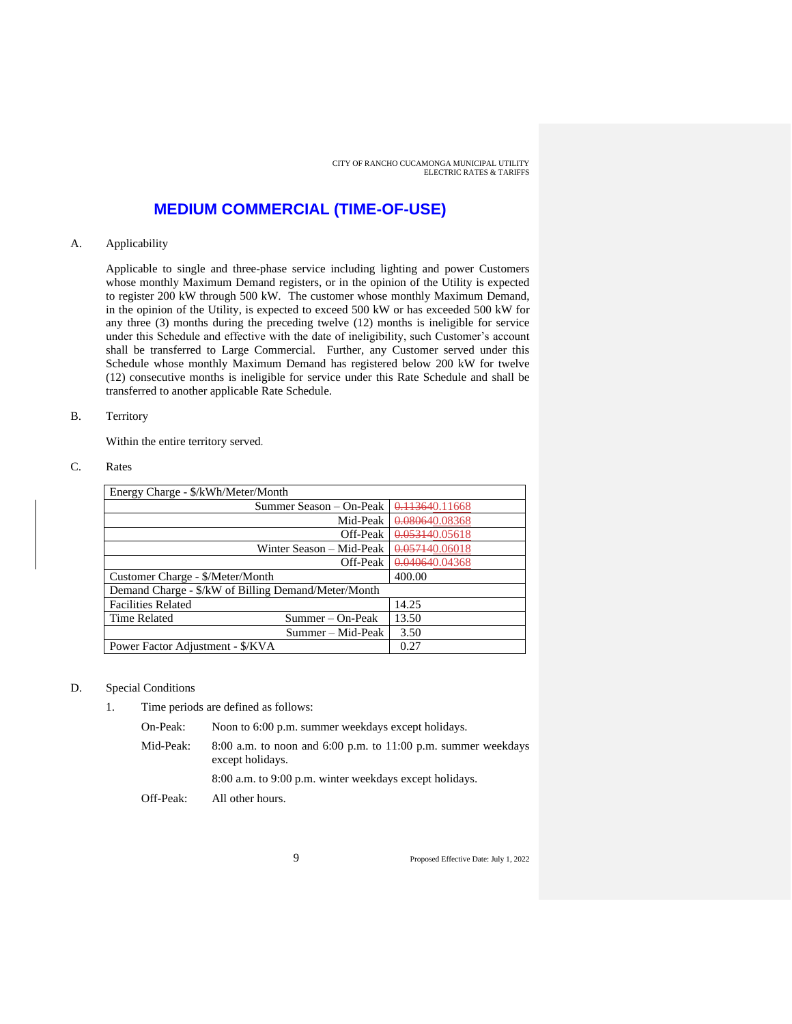## **MEDIUM COMMERCIAL (TIME-OF-USE)**

#### A. Applicability

Applicable to single and three-phase service including lighting and power Customers whose monthly Maximum Demand registers, or in the opinion of the Utility is expected to register 200 kW through 500 kW. The customer whose monthly Maximum Demand, in the opinion of the Utility, is expected to exceed 500 kW or has exceeded 500 kW for any three (3) months during the preceding twelve (12) months is ineligible for service under this Schedule and effective with the date of ineligibility, such Customer's account shall be transferred to Large Commercial. Further, any Customer served under this Schedule whose monthly Maximum Demand has registered below 200 kW for twelve (12) consecutive months is ineligible for service under this Rate Schedule and shall be transferred to another applicable Rate Schedule.

#### B. Territory

Within the entire territory served.

#### C. Rates

| Energy Charge - \$/kWh/Meter/Month                  |                          |                |
|-----------------------------------------------------|--------------------------|----------------|
|                                                     | Summer Season – On-Peak  | 0.113640.11668 |
|                                                     | Mid-Peak                 | 0.080640.08368 |
|                                                     | Off-Peak                 | 0.053140.05618 |
|                                                     | Winter Season – Mid-Peak | 0.057140.06018 |
|                                                     | Off-Peak                 | 0.040640.04368 |
| Customer Charge - \$/Meter/Month                    |                          | 400.00         |
| Demand Charge - \$/kW of Billing Demand/Meter/Month |                          |                |
| <b>Facilities Related</b>                           |                          | 14.25          |
| <b>Time Related</b>                                 | Summer – On-Peak         | 13.50          |
|                                                     | Summer – Mid-Peak        | 3.50           |
| Power Factor Adjustment - \$/KVA                    |                          | 0.27           |

#### D. Special Conditions

1. Time periods are defined as follows:

On-Peak: Noon to 6:00 p.m. summer weekdays except holidays.

Mid-Peak: 8:00 a.m. to noon and 6:00 p.m. to 11:00 p.m. summer weekdays except holidays.

8:00 a.m. to 9:00 p.m. winter weekdays except holidays.

Off-Peak: All other hours.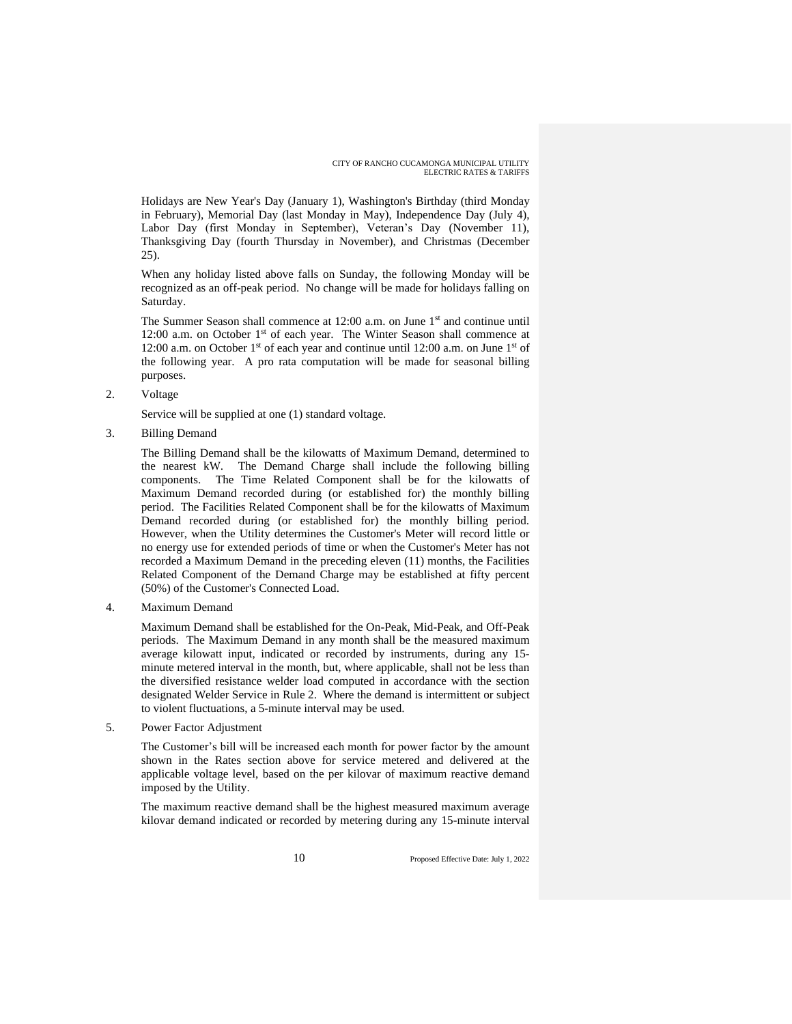Holidays are New Year's Day (January 1), Washington's Birthday (third Monday in February), Memorial Day (last Monday in May), Independence Day (July 4), Labor Day (first Monday in September), Veteran's Day (November 11), Thanksgiving Day (fourth Thursday in November), and Christmas (December 25).

When any holiday listed above falls on Sunday, the following Monday will be recognized as an off-peak period. No change will be made for holidays falling on Saturday.

The Summer Season shall commence at 12:00 a.m. on June 1<sup>st</sup> and continue until 12:00 a.m. on October 1<sup>st</sup> of each year. The Winter Season shall commence at 12:00 a.m. on October 1<sup>st</sup> of each year and continue until 12:00 a.m. on June 1<sup>st</sup> of the following year. A pro rata computation will be made for seasonal billing purposes.

2. Voltage

Service will be supplied at one (1) standard voltage.

3. Billing Demand

The Billing Demand shall be the kilowatts of Maximum Demand, determined to the nearest kW. The Demand Charge shall include the following billing components. The Time Related Component shall be for the kilowatts of Maximum Demand recorded during (or established for) the monthly billing period. The Facilities Related Component shall be for the kilowatts of Maximum Demand recorded during (or established for) the monthly billing period. However, when the Utility determines the Customer's Meter will record little or no energy use for extended periods of time or when the Customer's Meter has not recorded a Maximum Demand in the preceding eleven (11) months, the Facilities Related Component of the Demand Charge may be established at fifty percent (50%) of the Customer's Connected Load.

4. Maximum Demand

Maximum Demand shall be established for the On-Peak, Mid-Peak, and Off-Peak periods. The Maximum Demand in any month shall be the measured maximum average kilowatt input, indicated or recorded by instruments, during any 15 minute metered interval in the month, but, where applicable, shall not be less than the diversified resistance welder load computed in accordance with the section designated Welder Service in Rule 2. Where the demand is intermittent or subject to violent fluctuations, a 5-minute interval may be used.

5. Power Factor Adjustment

The Customer's bill will be increased each month for power factor by the amount shown in the Rates section above for service metered and delivered at the applicable voltage level, based on the per kilovar of maximum reactive demand imposed by the Utility.

The maximum reactive demand shall be the highest measured maximum average kilovar demand indicated or recorded by metering during any 15-minute interval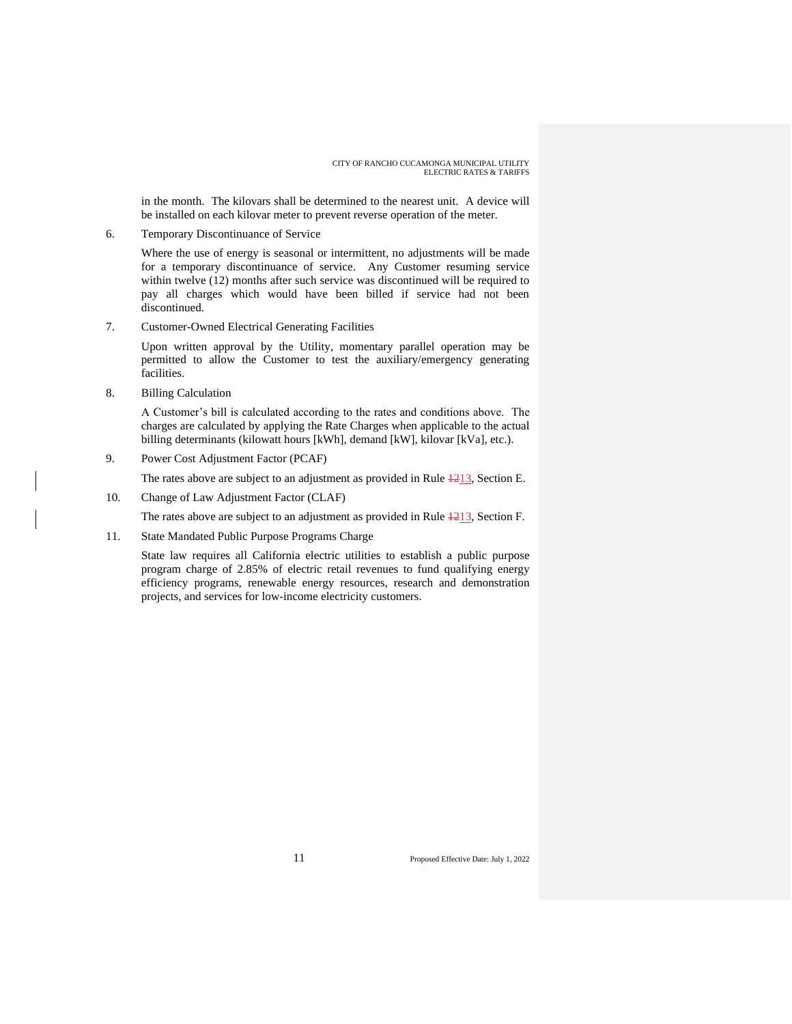in the month. The kilovars shall be determined to the nearest unit. A device will be installed on each kilovar meter to prevent reverse operation of the meter.

6. Temporary Discontinuance of Service

Where the use of energy is seasonal or intermittent, no adjustments will be made for a temporary discontinuance of service. Any Customer resuming service within twelve (12) months after such service was discontinued will be required to pay all charges which would have been billed if service had not been discontinued.

7. Customer-Owned Electrical Generating Facilities

Upon written approval by the Utility, momentary parallel operation may be permitted to allow the Customer to test the auxiliary/emergency generating facilities.

8. Billing Calculation

A Customer's bill is calculated according to the rates and conditions above. The charges are calculated by applying the Rate Charges when applicable to the actual billing determinants (kilowatt hours [kWh], demand [kW], kilovar [kVa], etc.).

9. Power Cost Adjustment Factor (PCAF)

The rates above are subject to an adjustment as provided in Rule  $\frac{1213}{1213}$ , Section E.

10. Change of Law Adjustment Factor (CLAF)

The rates above are subject to an adjustment as provided in Rule  $\frac{1213}{2}$ , Section F.

11. State Mandated Public Purpose Programs Charge

State law requires all California electric utilities to establish a public purpose program charge of 2.85% of electric retail revenues to fund qualifying energy efficiency programs, renewable energy resources, research and demonstration projects, and services for low-income electricity customers.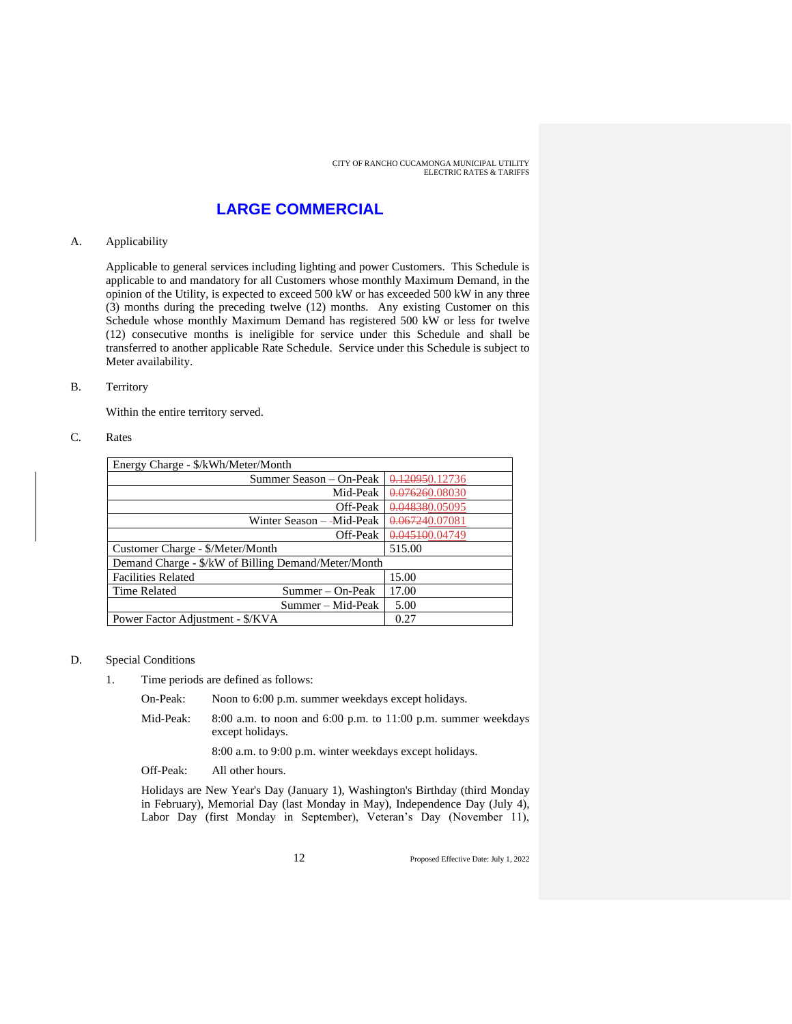## **LARGE COMMERCIAL**

#### A. Applicability

Applicable to general services including lighting and power Customers. This Schedule is applicable to and mandatory for all Customers whose monthly Maximum Demand, in the opinion of the Utility, is expected to exceed 500 kW or has exceeded 500 kW in any three (3) months during the preceding twelve (12) months. Any existing Customer on this Schedule whose monthly Maximum Demand has registered 500 kW or less for twelve (12) consecutive months is ineligible for service under this Schedule and shall be transferred to another applicable Rate Schedule. Service under this Schedule is subject to Meter availability.

#### B. Territory

Within the entire territory served.

#### C. Rates

| Energy Charge - \$/kWh/Meter/Month                  |                |  |
|-----------------------------------------------------|----------------|--|
| Summer Season – On-Peak                             | 0.120950.12736 |  |
| Mid-Peak                                            | 0.076260.08030 |  |
| Off-Peak                                            | 0.048380.05095 |  |
| Winter Season --Mid-Peak                            | 0.067240.07081 |  |
| Off-Peak                                            | 0.045100.04749 |  |
| Customer Charge - \$/Meter/Month                    | 515.00         |  |
| Demand Charge - \$/kW of Billing Demand/Meter/Month |                |  |
| <b>Facilities Related</b>                           | 15.00          |  |
| <b>Time Related</b><br>Summer – On-Peak             | 17.00          |  |
| Summer – Mid-Peak                                   | 5.00           |  |
| Power Factor Adjustment - \$/KVA                    | 0.27           |  |

#### D. Special Conditions

- 1. Time periods are defined as follows:
	- On-Peak: Noon to 6:00 p.m. summer weekdays except holidays.
	- Mid-Peak: 8:00 a.m. to noon and 6:00 p.m. to 11:00 p.m. summer weekdays except holidays.

8:00 a.m. to 9:00 p.m. winter weekdays except holidays.

Off-Peak: All other hours.

Holidays are New Year's Day (January 1), Washington's Birthday (third Monday in February), Memorial Day (last Monday in May), Independence Day (July 4), Labor Day (first Monday in September), Veteran's Day (November 11),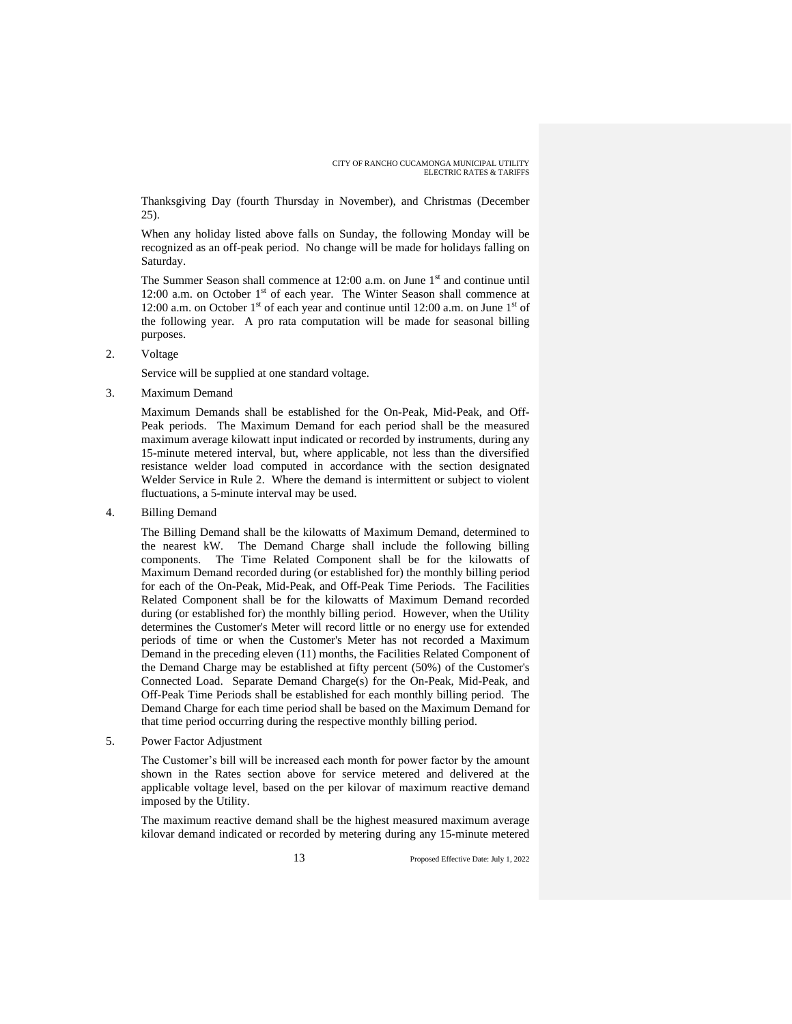Thanksgiving Day (fourth Thursday in November), and Christmas (December 25).

When any holiday listed above falls on Sunday, the following Monday will be recognized as an off-peak period. No change will be made for holidays falling on Saturday.

The Summer Season shall commence at  $12:00$  a.m. on June  $1<sup>st</sup>$  and continue until 12:00 a.m. on October  $1<sup>st</sup>$  of each year. The Winter Season shall commence at 12:00 a.m. on October 1<sup>st</sup> of each year and continue until 12:00 a.m. on June 1<sup>st</sup> of the following year. A pro rata computation will be made for seasonal billing purposes.

2. Voltage

Service will be supplied at one standard voltage.

3. Maximum Demand

Maximum Demands shall be established for the On-Peak, Mid-Peak, and Off-Peak periods. The Maximum Demand for each period shall be the measured maximum average kilowatt input indicated or recorded by instruments, during any 15-minute metered interval, but, where applicable, not less than the diversified resistance welder load computed in accordance with the section designated Welder Service in Rule 2. Where the demand is intermittent or subject to violent fluctuations, a 5-minute interval may be used.

4. Billing Demand

The Billing Demand shall be the kilowatts of Maximum Demand, determined to the nearest kW. The Demand Charge shall include the following billing components. The Time Related Component shall be for the kilowatts of Maximum Demand recorded during (or established for) the monthly billing period for each of the On-Peak, Mid-Peak, and Off-Peak Time Periods. The Facilities Related Component shall be for the kilowatts of Maximum Demand recorded during (or established for) the monthly billing period. However, when the Utility determines the Customer's Meter will record little or no energy use for extended periods of time or when the Customer's Meter has not recorded a Maximum Demand in the preceding eleven (11) months, the Facilities Related Component of the Demand Charge may be established at fifty percent (50%) of the Customer's Connected Load. Separate Demand Charge(s) for the On-Peak, Mid-Peak, and Off-Peak Time Periods shall be established for each monthly billing period. The Demand Charge for each time period shall be based on the Maximum Demand for that time period occurring during the respective monthly billing period.

5. Power Factor Adjustment

The Customer's bill will be increased each month for power factor by the amount shown in the Rates section above for service metered and delivered at the applicable voltage level, based on the per kilovar of maximum reactive demand imposed by the Utility.

The maximum reactive demand shall be the highest measured maximum average kilovar demand indicated or recorded by metering during any 15-minute metered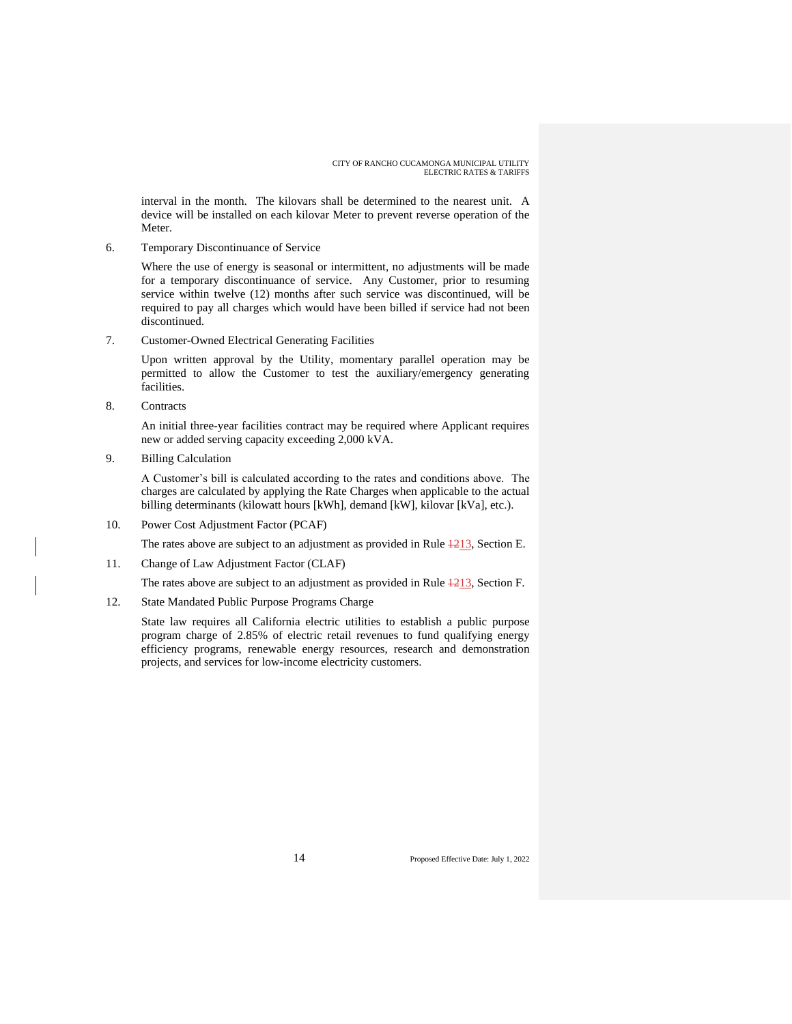interval in the month. The kilovars shall be determined to the nearest unit. A device will be installed on each kilovar Meter to prevent reverse operation of the Meter.

6. Temporary Discontinuance of Service

Where the use of energy is seasonal or intermittent, no adjustments will be made for a temporary discontinuance of service. Any Customer, prior to resuming service within twelve (12) months after such service was discontinued, will be required to pay all charges which would have been billed if service had not been discontinued.

7. Customer-Owned Electrical Generating Facilities

Upon written approval by the Utility, momentary parallel operation may be permitted to allow the Customer to test the auxiliary/emergency generating facilities.

8. Contracts

An initial three-year facilities contract may be required where Applicant requires new or added serving capacity exceeding 2,000 kVA.

9. Billing Calculation

A Customer's bill is calculated according to the rates and conditions above. The charges are calculated by applying the Rate Charges when applicable to the actual billing determinants (kilowatt hours [kWh], demand [kW], kilovar [kVa], etc.).

10. Power Cost Adjustment Factor (PCAF)

The rates above are subject to an adjustment as provided in Rule  $\frac{1213}{2}$ , Section E.

11. Change of Law Adjustment Factor (CLAF)

The rates above are subject to an adjustment as provided in Rule  $\frac{1213}{2}$ , Section F.

12. State Mandated Public Purpose Programs Charge

State law requires all California electric utilities to establish a public purpose program charge of 2.85% of electric retail revenues to fund qualifying energy efficiency programs, renewable energy resources, research and demonstration projects, and services for low-income electricity customers.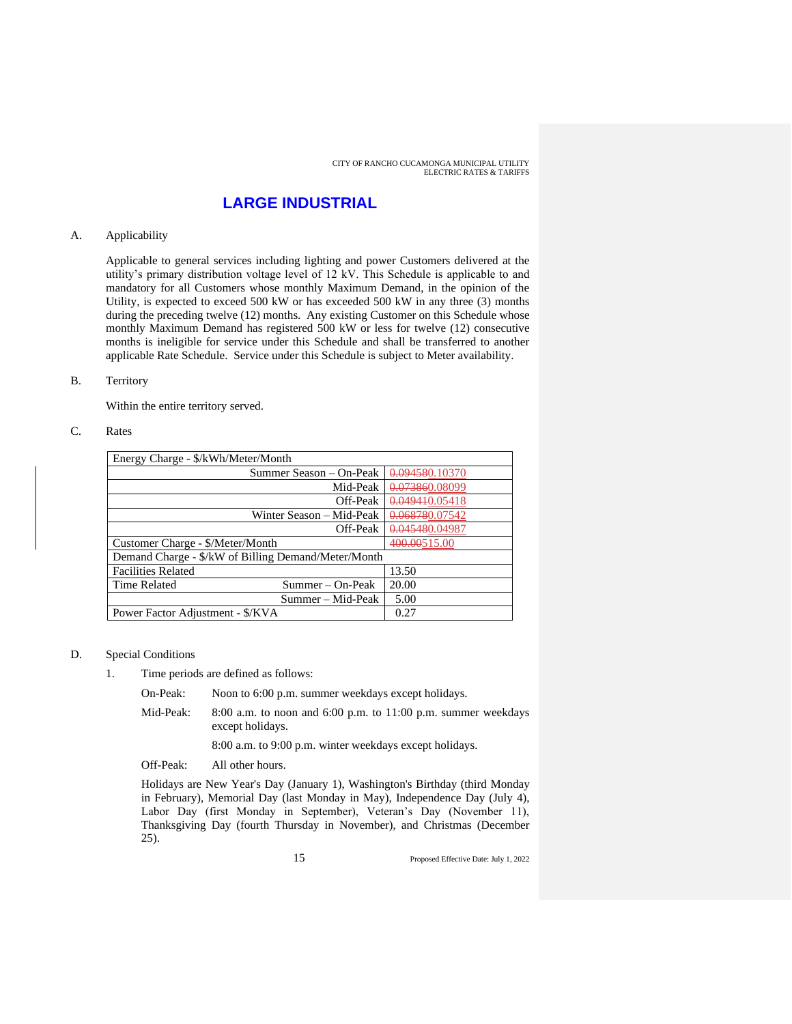### **LARGE INDUSTRIAL**

#### A. Applicability

Applicable to general services including lighting and power Customers delivered at the utility's primary distribution voltage level of 12 kV. This Schedule is applicable to and mandatory for all Customers whose monthly Maximum Demand, in the opinion of the Utility, is expected to exceed 500 kW or has exceeded 500 kW in any three (3) months during the preceding twelve (12) months. Any existing Customer on this Schedule whose monthly Maximum Demand has registered 500 kW or less for twelve (12) consecutive months is ineligible for service under this Schedule and shall be transferred to another applicable Rate Schedule. Service under this Schedule is subject to Meter availability.

#### B. Territory

Within the entire territory served.

#### C. Rates

| Energy Charge - \$/kWh/Meter/Month                  |                |  |
|-----------------------------------------------------|----------------|--|
| Summer Season – On-Peak                             | 0.094580.10370 |  |
| Mid-Peak                                            | 0.073860.08099 |  |
| Off-Peak                                            | 0.049440.05418 |  |
| Winter Season – Mid-Peak                            | 0.068780.07542 |  |
| Off-Peak                                            | 0.045480.04987 |  |
| Customer Charge - \$/Meter/Month                    | 400.00515.00   |  |
| Demand Charge - \$/kW of Billing Demand/Meter/Month |                |  |
| <b>Facilities Related</b>                           | 13.50          |  |
| <b>Time Related</b><br>Summer – On-Peak             | 20.00          |  |
| Summer – Mid-Peak                                   | 5.00           |  |
| Power Factor Adjustment - \$/KVA                    | 0.27           |  |

#### D. Special Conditions

- 1. Time periods are defined as follows:
	- On-Peak: Noon to 6:00 p.m. summer weekdays except holidays.
	- Mid-Peak: 8:00 a.m. to noon and 6:00 p.m. to 11:00 p.m. summer weekdays except holidays.

8:00 a.m. to 9:00 p.m. winter weekdays except holidays.

Off-Peak: All other hours.

Holidays are New Year's Day (January 1), Washington's Birthday (third Monday in February), Memorial Day (last Monday in May), Independence Day (July 4), Labor Day (first Monday in September), Veteran's Day (November 11), Thanksgiving Day (fourth Thursday in November), and Christmas (December 25).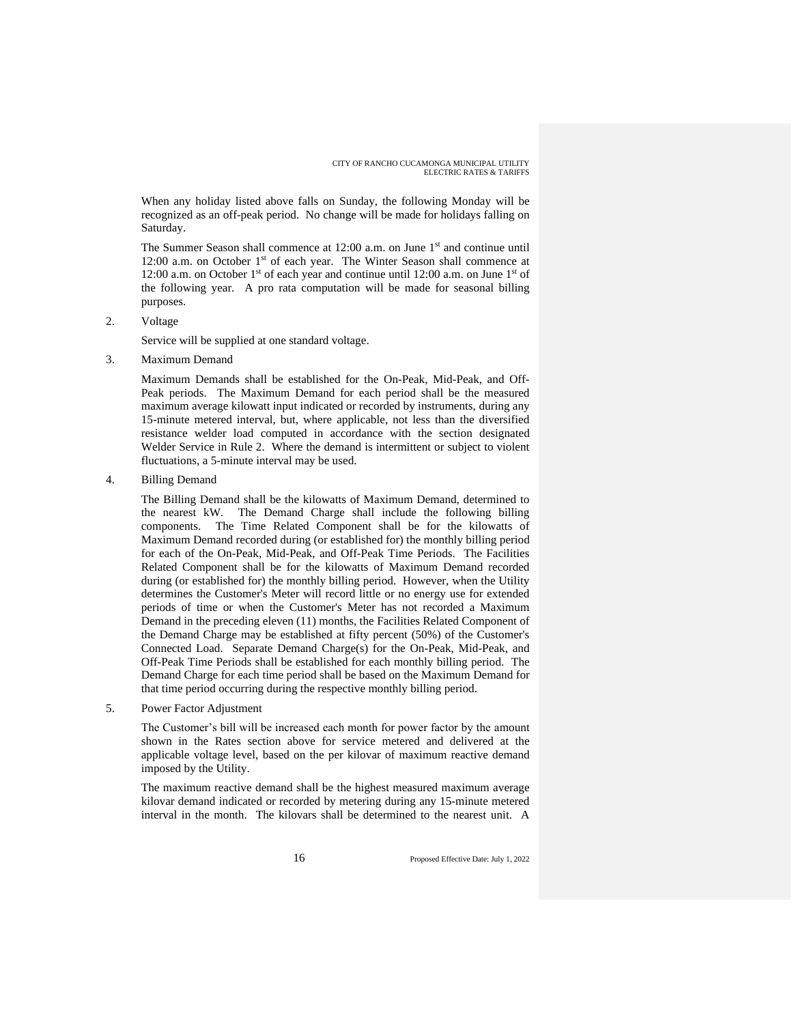When any holiday listed above falls on Sunday, the following Monday will be recognized as an off-peak period. No change will be made for holidays falling on Saturday.

The Summer Season shall commence at 12:00 a.m. on June 1<sup>st</sup> and continue until 12:00 a.m. on October 1<sup>st</sup> of each year. The Winter Season shall commence at 12:00 a.m. on October 1<sup>st</sup> of each year and continue until 12:00 a.m. on June 1<sup>st</sup> of the following year. A pro rata computation will be made for seasonal billing purposes.

2. Voltage

Service will be supplied at one standard voltage.

3. Maximum Demand

Maximum Demands shall be established for the On-Peak, Mid-Peak, and Off-Peak periods. The Maximum Demand for each period shall be the measured maximum average kilowatt input indicated or recorded by instruments, during any 15-minute metered interval, but, where applicable, not less than the diversified resistance welder load computed in accordance with the section designated Welder Service in Rule 2. Where the demand is intermittent or subject to violent fluctuations, a 5-minute interval may be used.

4. Billing Demand

The Billing Demand shall be the kilowatts of Maximum Demand, determined to the nearest kW. The Demand Charge shall include the following billing components. The Time Related Component shall be for the kilowatts of Maximum Demand recorded during (or established for) the monthly billing period for each of the On-Peak, Mid-Peak, and Off-Peak Time Periods. The Facilities Related Component shall be for the kilowatts of Maximum Demand recorded during (or established for) the monthly billing period. However, when the Utility determines the Customer's Meter will record little or no energy use for extended periods of time or when the Customer's Meter has not recorded a Maximum Demand in the preceding eleven (11) months, the Facilities Related Component of the Demand Charge may be established at fifty percent (50%) of the Customer's Connected Load. Separate Demand Charge(s) for the On-Peak, Mid-Peak, and Off-Peak Time Periods shall be established for each monthly billing period. The Demand Charge for each time period shall be based on the Maximum Demand for that time period occurring during the respective monthly billing period.

5. Power Factor Adjustment

The Customer's bill will be increased each month for power factor by the amount shown in the Rates section above for service metered and delivered at the applicable voltage level, based on the per kilovar of maximum reactive demand imposed by the Utility.

The maximum reactive demand shall be the highest measured maximum average kilovar demand indicated or recorded by metering during any 15-minute metered interval in the month. The kilovars shall be determined to the nearest unit. A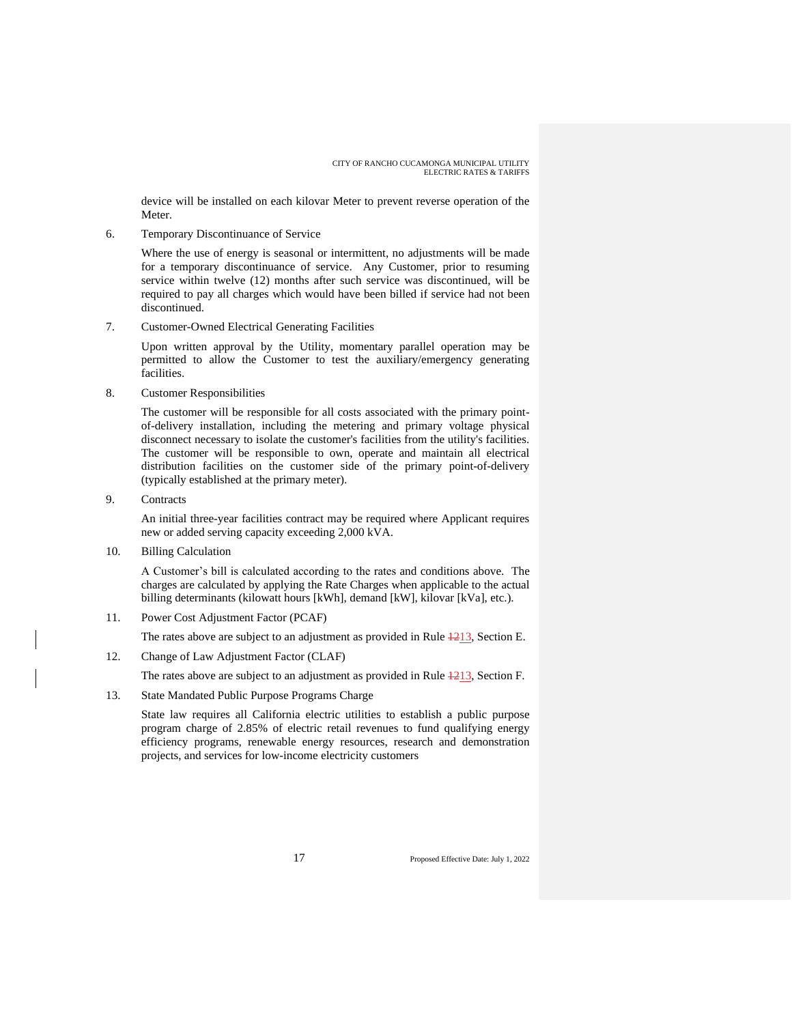device will be installed on each kilovar Meter to prevent reverse operation of the Meter.

6. Temporary Discontinuance of Service

Where the use of energy is seasonal or intermittent, no adjustments will be made for a temporary discontinuance of service. Any Customer, prior to resuming service within twelve (12) months after such service was discontinued, will be required to pay all charges which would have been billed if service had not been discontinued.

7. Customer-Owned Electrical Generating Facilities

Upon written approval by the Utility, momentary parallel operation may be permitted to allow the Customer to test the auxiliary/emergency generating facilities.

8. Customer Responsibilities

The customer will be responsible for all costs associated with the primary pointof-delivery installation, including the metering and primary voltage physical disconnect necessary to isolate the customer's facilities from the utility's facilities. The customer will be responsible to own, operate and maintain all electrical distribution facilities on the customer side of the primary point-of-delivery (typically established at the primary meter).

9. Contracts

An initial three-year facilities contract may be required where Applicant requires new or added serving capacity exceeding 2,000 kVA.

10. Billing Calculation

A Customer's bill is calculated according to the rates and conditions above. The charges are calculated by applying the Rate Charges when applicable to the actual billing determinants (kilowatt hours [kWh], demand [kW], kilovar [kVa], etc.).

11. Power Cost Adjustment Factor (PCAF)

The rates above are subject to an adjustment as provided in Rule  $\frac{1213}{213}$ , Section E.

12. Change of Law Adjustment Factor (CLAF)

The rates above are subject to an adjustment as provided in Rule  $\frac{1213}{2}$ , Section F.

13. State Mandated Public Purpose Programs Charge

State law requires all California electric utilities to establish a public purpose program charge of 2.85% of electric retail revenues to fund qualifying energy efficiency programs, renewable energy resources, research and demonstration projects, and services for low-income electricity customers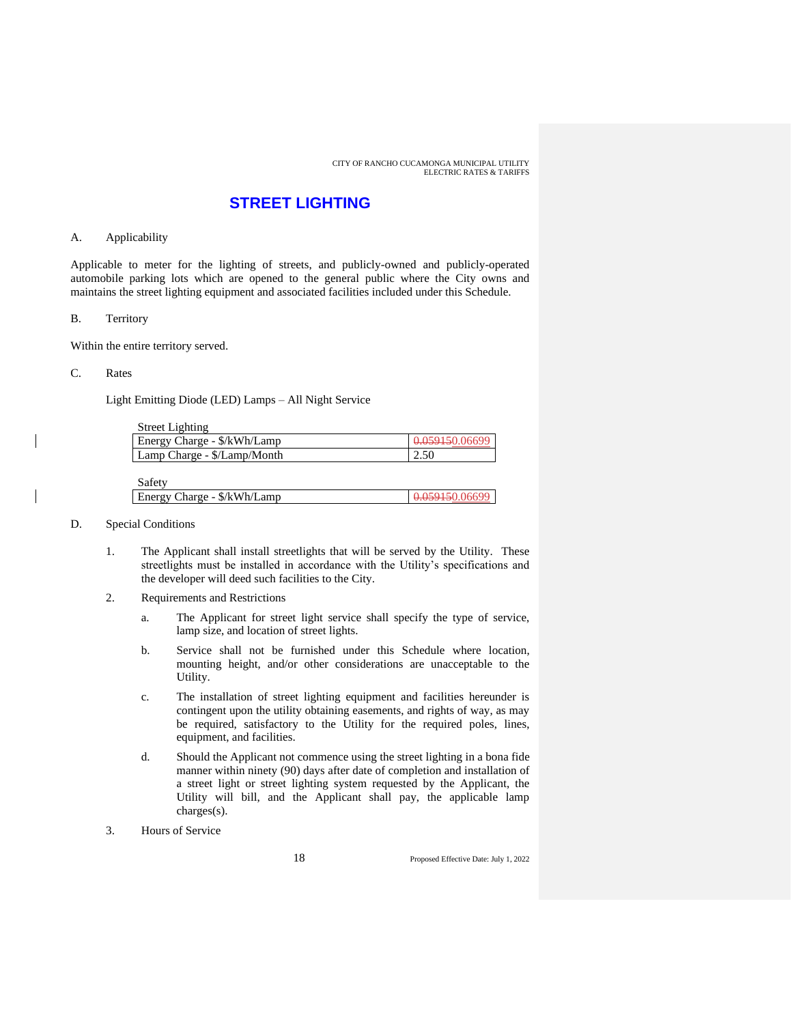### **STREET LIGHTING**

#### A. Applicability

Applicable to meter for the lighting of streets, and publicly-owned and publicly-operated automobile parking lots which are opened to the general public where the City owns and maintains the street lighting equipment and associated facilities included under this Schedule.

#### B. Territory

Within the entire territory served.

#### C. Rates

Light Emitting Diode (LED) Lamps – All Night Service

| <b>Street Lighting</b>           |                |
|----------------------------------|----------------|
| Energy Charge - \$/kWh/Lamp      | 0.059150.06699 |
| Lamp Charge - \$/Lamp/Month      | 2.50           |
|                                  |                |
| $C_{\alpha}f_{\alpha}f_{\alpha}$ |                |

| Saicty                      |  |
|-----------------------------|--|
| Energy Charge - \$/kWh/Lamp |  |
|                             |  |

#### D. Special Conditions

- 1. The Applicant shall install streetlights that will be served by the Utility. These streetlights must be installed in accordance with the Utility's specifications and the developer will deed such facilities to the City.
- 2. Requirements and Restrictions
	- a. The Applicant for street light service shall specify the type of service, lamp size, and location of street lights.
	- b. Service shall not be furnished under this Schedule where location, mounting height, and/or other considerations are unacceptable to the Utility.
	- c. The installation of street lighting equipment and facilities hereunder is contingent upon the utility obtaining easements, and rights of way, as may be required, satisfactory to the Utility for the required poles, lines, equipment, and facilities.
	- d. Should the Applicant not commence using the street lighting in a bona fide manner within ninety (90) days after date of completion and installation of a street light or street lighting system requested by the Applicant, the Utility will bill, and the Applicant shall pay, the applicable lamp charges(s).
- 3. Hours of Service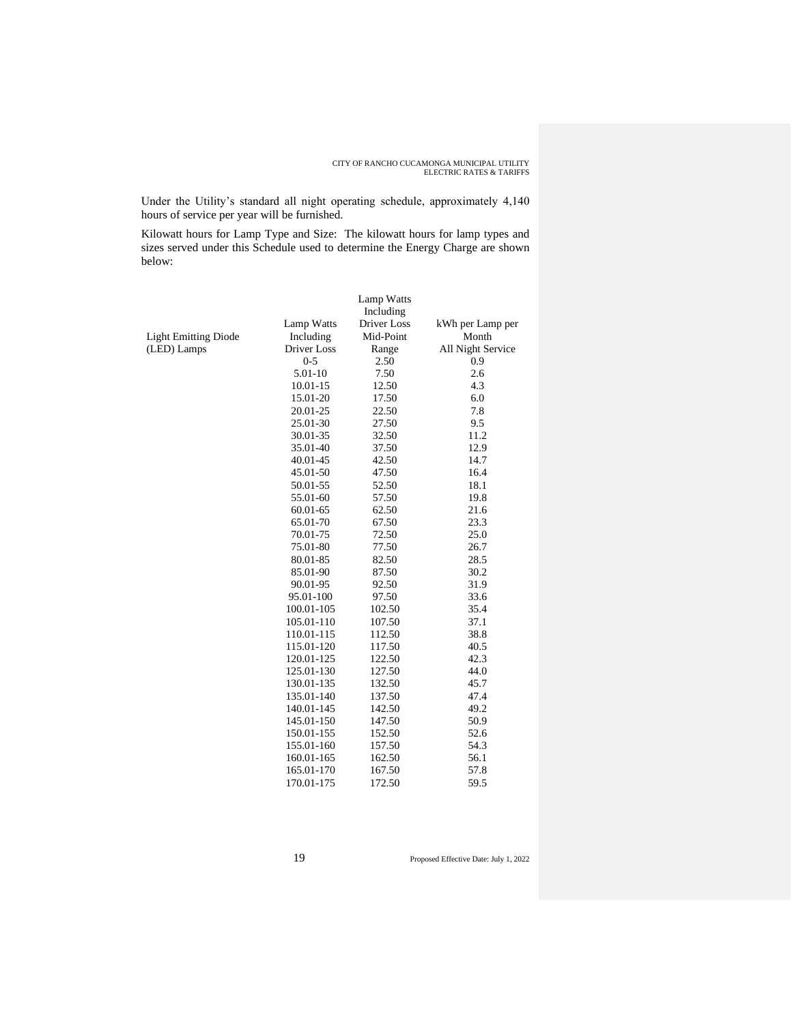Under the Utility's standard all night operating schedule, approximately 4,140 hours of service per year will be furnished.

Kilowatt hours for Lamp Type and Size: The kilowatt hours for lamp types and sizes served under this Schedule used to determine the Energy Charge are shown below:

|                             |                    | Lamp Watts<br>Including |                   |
|-----------------------------|--------------------|-------------------------|-------------------|
|                             | <b>Lamp Watts</b>  | Driver Loss             | kWh per Lamp per  |
| <b>Light Emitting Diode</b> | Including          | Mid-Point               | Month             |
| (LED) Lamps                 | <b>Driver</b> Loss | Range                   | All Night Service |
|                             | $0 - 5$            | 2.50                    | 0.9               |
|                             | 5.01-10            | 7.50                    | 2.6               |
|                             | 10.01-15           | 12.50                   | 4.3               |
|                             | 15.01-20           | 17.50                   | 6.0               |
|                             | 20.01-25           | 22.50                   | 7.8               |
|                             | 25.01-30           | 27.50                   | 9.5               |
|                             | 30.01-35           | 32.50                   | 11.2              |
|                             | 35.01-40           | 37.50                   | 12.9              |
|                             | 40.01-45           | 42.50                   | 14.7              |
|                             | 45.01-50           | 47.50                   | 16.4              |
|                             | 50.01-55           | 52.50                   | 18.1              |
|                             | 55.01-60           | 57.50                   | 19.8              |
|                             | 60.01-65           | 62.50                   | 21.6              |
|                             | 65.01-70           | 67.50                   | 23.3              |
|                             | 70.01-75           | 72.50                   | 25.0              |
|                             | 75.01-80           | 77.50                   | 26.7              |
|                             | 80.01-85           | 82.50                   | 28.5              |
|                             | 85.01-90           | 87.50                   | 30.2              |
|                             | 90.01-95           | 92.50                   | 31.9              |
|                             | 95.01-100          | 97.50                   | 33.6              |
|                             | 100.01-105         | 102.50                  | 35.4              |
|                             | 105.01-110         | 107.50                  | 37.1              |
|                             | 110.01-115         | 112.50                  | 38.8              |
|                             | 115.01-120         | 117.50                  | 40.5              |
|                             | 120.01-125         | 122.50                  | 42.3              |
|                             | 125.01-130         | 127.50                  | 44.0              |
|                             | 130.01-135         | 132.50                  | 45.7              |
|                             | 135.01-140         | 137.50                  | 47.4              |
|                             | 140.01-145         | 142.50                  | 49.2              |
|                             | 145.01-150         | 147.50                  | 50.9              |
|                             | 150.01-155         | 152.50                  | 52.6              |
|                             | 155.01-160         | 157.50                  | 54.3              |
|                             | 160.01-165         | 162.50                  | 56.1              |
|                             | 165.01-170         | 167.50                  | 57.8              |
|                             | 170.01-175         | 172.50                  | 59.5              |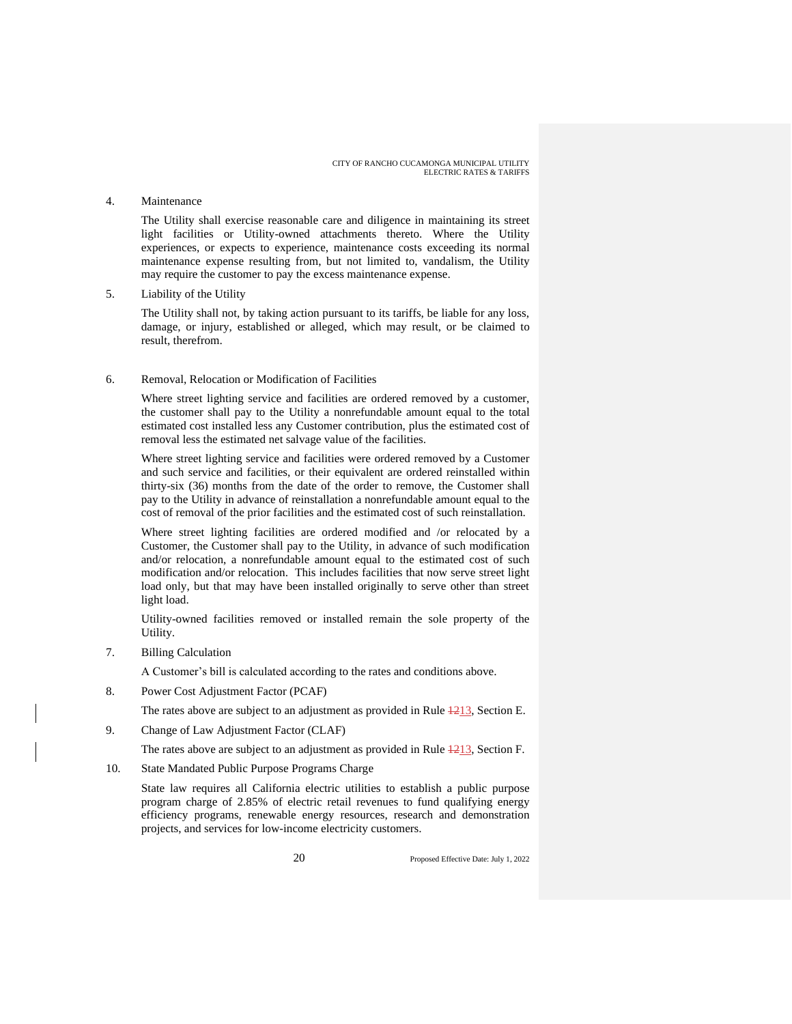#### 4. Maintenance

The Utility shall exercise reasonable care and diligence in maintaining its street light facilities or Utility-owned attachments thereto. Where the Utility experiences, or expects to experience, maintenance costs exceeding its normal maintenance expense resulting from, but not limited to, vandalism, the Utility may require the customer to pay the excess maintenance expense.

5. Liability of the Utility

The Utility shall not, by taking action pursuant to its tariffs, be liable for any loss, damage, or injury, established or alleged, which may result, or be claimed to result, therefrom.

#### 6. Removal, Relocation or Modification of Facilities

Where street lighting service and facilities are ordered removed by a customer, the customer shall pay to the Utility a nonrefundable amount equal to the total estimated cost installed less any Customer contribution, plus the estimated cost of removal less the estimated net salvage value of the facilities.

Where street lighting service and facilities were ordered removed by a Customer and such service and facilities, or their equivalent are ordered reinstalled within thirty-six (36) months from the date of the order to remove, the Customer shall pay to the Utility in advance of reinstallation a nonrefundable amount equal to the cost of removal of the prior facilities and the estimated cost of such reinstallation.

Where street lighting facilities are ordered modified and /or relocated by a Customer, the Customer shall pay to the Utility, in advance of such modification and/or relocation, a nonrefundable amount equal to the estimated cost of such modification and/or relocation. This includes facilities that now serve street light load only, but that may have been installed originally to serve other than street light load.

Utility-owned facilities removed or installed remain the sole property of the Utility.

7. Billing Calculation

A Customer's bill is calculated according to the rates and conditions above.

8. Power Cost Adjustment Factor (PCAF)

The rates above are subject to an adjustment as provided in Rule  $\frac{1213}{2}$ , Section E.

9. Change of Law Adjustment Factor (CLAF)

The rates above are subject to an adjustment as provided in Rule  $\frac{1213}{213}$ , Section F.

10. State Mandated Public Purpose Programs Charge

State law requires all California electric utilities to establish a public purpose program charge of 2.85% of electric retail revenues to fund qualifying energy efficiency programs, renewable energy resources, research and demonstration projects, and services for low-income electricity customers.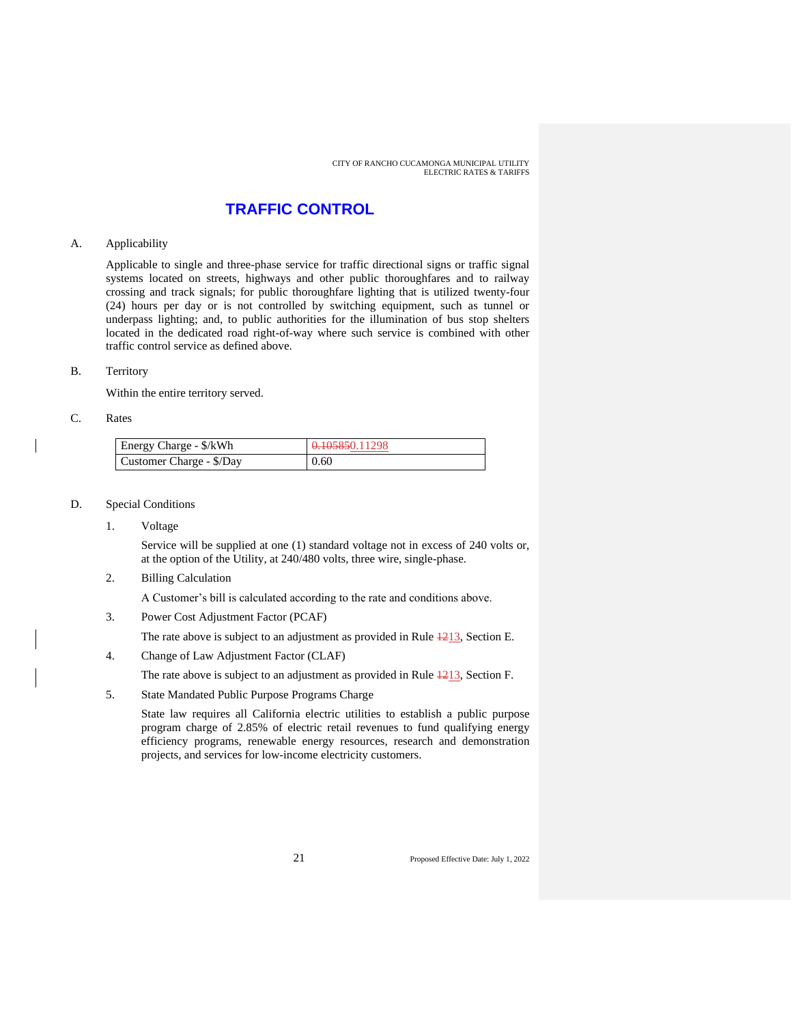### **TRAFFIC CONTROL**

#### A. Applicability

Applicable to single and three-phase service for traffic directional signs or traffic signal systems located on streets, highways and other public thoroughfares and to railway crossing and track signals; for public thoroughfare lighting that is utilized twenty-four (24) hours per day or is not controlled by switching equipment, such as tunnel or underpass lighting; and, to public authorities for the illumination of bus stop shelters located in the dedicated road right-of-way where such service is combined with other traffic control service as defined above.

#### B. Territory

Within the entire territory served.

#### C. Rates

| Energy Charge - \$/kWh   | 0.105850.11298 |
|--------------------------|----------------|
| Customer Charge - \$/Day | 0.60           |

#### D. Special Conditions

1. Voltage

Service will be supplied at one (1) standard voltage not in excess of 240 volts or, at the option of the Utility, at 240/480 volts, three wire, single-phase.

2. Billing Calculation

A Customer's bill is calculated according to the rate and conditions above.

3. Power Cost Adjustment Factor (PCAF)

The rate above is subject to an adjustment as provided in Rule  $\frac{1213}{2}$ , Section E.

4. Change of Law Adjustment Factor (CLAF)

The rate above is subject to an adjustment as provided in Rule  $\frac{1213}{2}$ , Section F.

5. State Mandated Public Purpose Programs Charge

State law requires all California electric utilities to establish a public purpose program charge of 2.85% of electric retail revenues to fund qualifying energy efficiency programs, renewable energy resources, research and demonstration projects, and services for low-income electricity customers.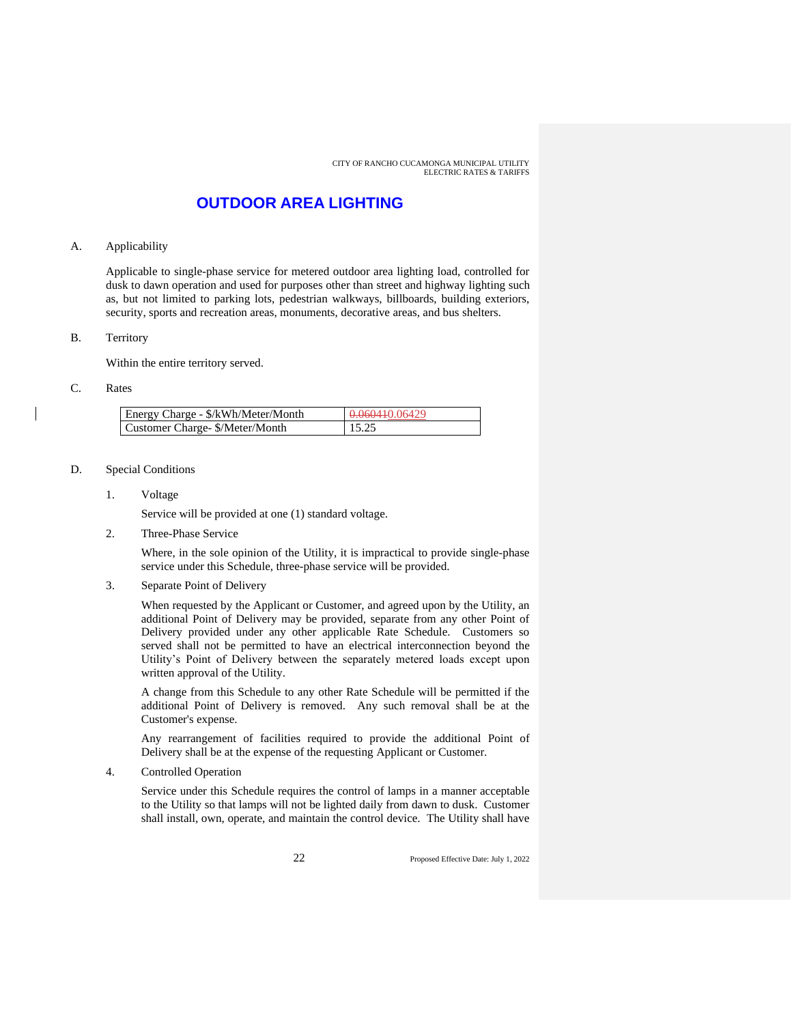### **OUTDOOR AREA LIGHTING**

#### A. Applicability

Applicable to single-phase service for metered outdoor area lighting load, controlled for dusk to dawn operation and used for purposes other than street and highway lighting such as, but not limited to parking lots, pedestrian walkways, billboards, building exteriors, security, sports and recreation areas, monuments, decorative areas, and bus shelters.

#### B. Territory

Within the entire territory served.

#### C. Rates

| Energy Charge - \$/kWh/Meter/Month | 0.060410.06429 |
|------------------------------------|----------------|
| Customer Charge- \$/Meter/Month    | 15.25          |

#### D. Special Conditions

1. Voltage

Service will be provided at one (1) standard voltage.

2. Three-Phase Service

Where, in the sole opinion of the Utility, it is impractical to provide single-phase service under this Schedule, three-phase service will be provided.

3. Separate Point of Delivery

When requested by the Applicant or Customer, and agreed upon by the Utility, an additional Point of Delivery may be provided, separate from any other Point of Delivery provided under any other applicable Rate Schedule. Customers so served shall not be permitted to have an electrical interconnection beyond the Utility's Point of Delivery between the separately metered loads except upon written approval of the Utility.

A change from this Schedule to any other Rate Schedule will be permitted if the additional Point of Delivery is removed. Any such removal shall be at the Customer's expense.

Any rearrangement of facilities required to provide the additional Point of Delivery shall be at the expense of the requesting Applicant or Customer.

4. Controlled Operation

Service under this Schedule requires the control of lamps in a manner acceptable to the Utility so that lamps will not be lighted daily from dawn to dusk. Customer shall install, own, operate, and maintain the control device. The Utility shall have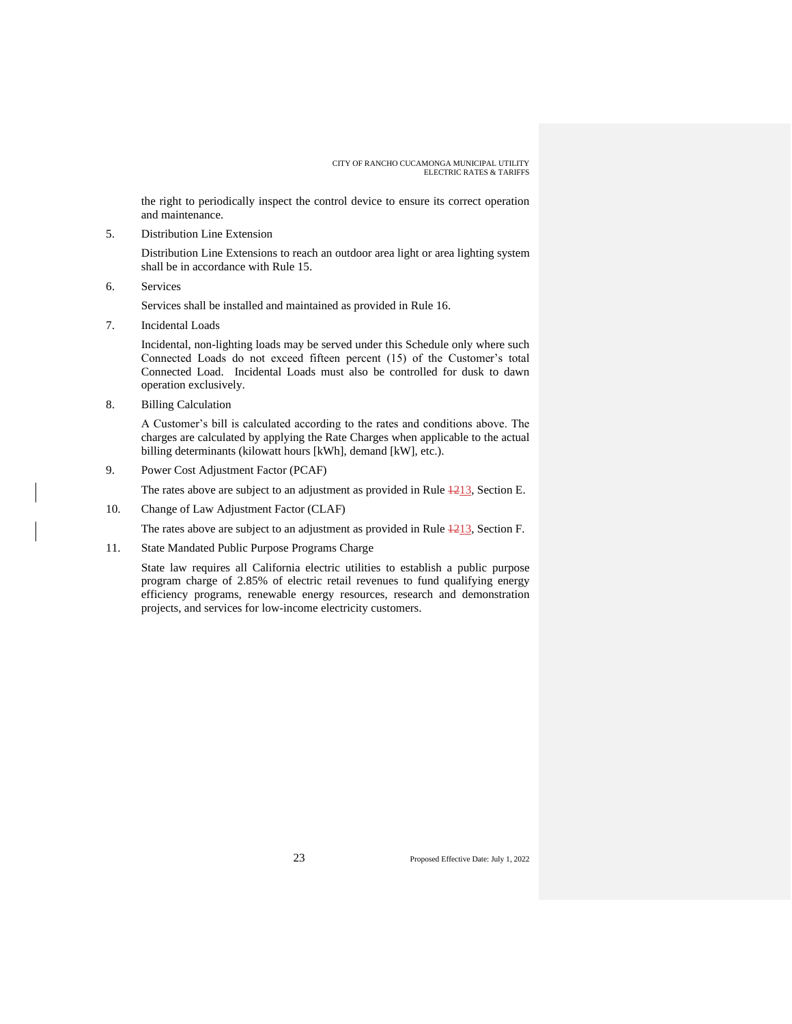the right to periodically inspect the control device to ensure its correct operation and maintenance.

5. Distribution Line Extension

Distribution Line Extensions to reach an outdoor area light or area lighting system shall be in accordance with Rule 15.

6. Services

Services shall be installed and maintained as provided in Rule 16.

7. Incidental Loads

Incidental, non-lighting loads may be served under this Schedule only where such Connected Loads do not exceed fifteen percent (15) of the Customer's total Connected Load. Incidental Loads must also be controlled for dusk to dawn operation exclusively.

8. Billing Calculation

A Customer's bill is calculated according to the rates and conditions above. The charges are calculated by applying the Rate Charges when applicable to the actual billing determinants (kilowatt hours [kWh], demand [kW], etc.).

9. Power Cost Adjustment Factor (PCAF)

The rates above are subject to an adjustment as provided in Rule  $\frac{1213}{2}$ , Section E.

10. Change of Law Adjustment Factor (CLAF)

The rates above are subject to an adjustment as provided in Rule  $\frac{1213}{121}$ , Section F.

11. State Mandated Public Purpose Programs Charge

State law requires all California electric utilities to establish a public purpose program charge of 2.85% of electric retail revenues to fund qualifying energy efficiency programs, renewable energy resources, research and demonstration projects, and services for low-income electricity customers.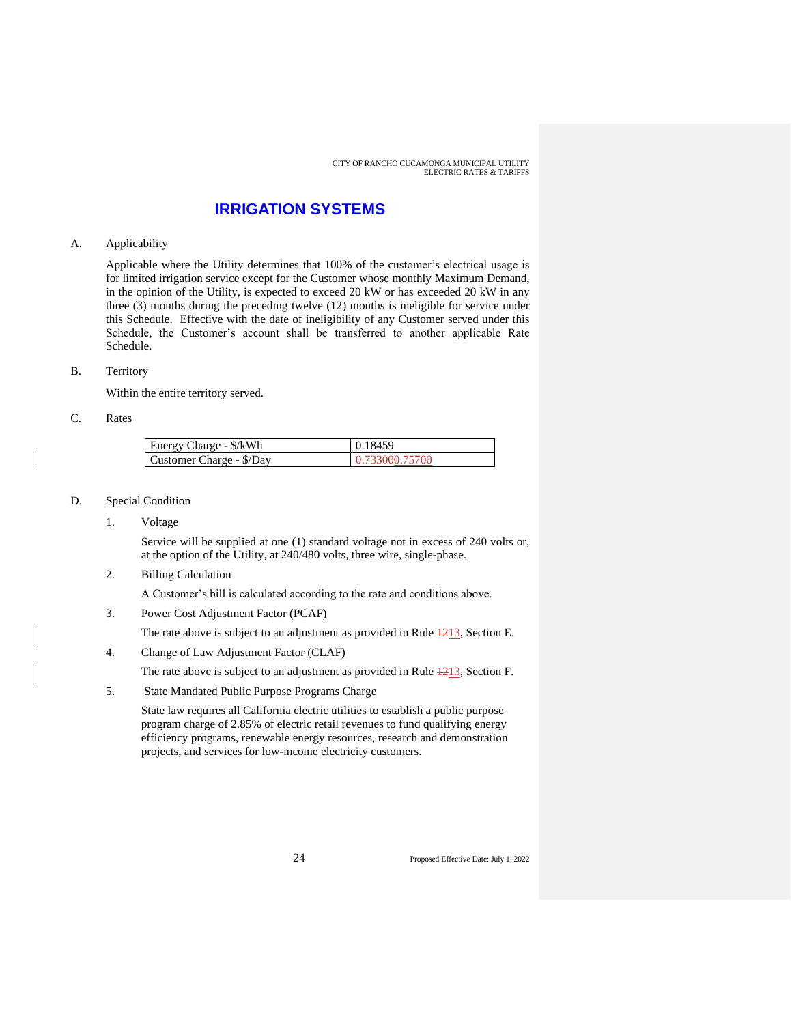### **IRRIGATION SYSTEMS**

#### A. Applicability

Applicable where the Utility determines that 100% of the customer's electrical usage is for limited irrigation service except for the Customer whose monthly Maximum Demand, in the opinion of the Utility, is expected to exceed 20 kW or has exceeded 20 kW in any three (3) months during the preceding twelve (12) months is ineligible for service under this Schedule. Effective with the date of ineligibility of any Customer served under this Schedule, the Customer's account shall be transferred to another applicable Rate Schedule.

#### B. Territory

Within the entire territory served.

#### C. Rates

| Energy Charge - \$/kWh   | 0.18459        |
|--------------------------|----------------|
| Customer Charge - \$/Day | 0.733000.75700 |

#### D. Special Condition

1. Voltage

Service will be supplied at one (1) standard voltage not in excess of 240 volts or, at the option of the Utility, at 240/480 volts, three wire, single-phase.

2. Billing Calculation

A Customer's bill is calculated according to the rate and conditions above.

3. Power Cost Adjustment Factor (PCAF)

The rate above is subject to an adjustment as provided in Rule  $\frac{1213}{2}$ , Section E.

4. Change of Law Adjustment Factor (CLAF)

The rate above is subject to an adjustment as provided in Rule  $\frac{1213}{2}$ , Section F.

5. State Mandated Public Purpose Programs Charge

State law requires all California electric utilities to establish a public purpose program charge of 2.85% of electric retail revenues to fund qualifying energy efficiency programs, renewable energy resources, research and demonstration projects, and services for low-income electricity customers.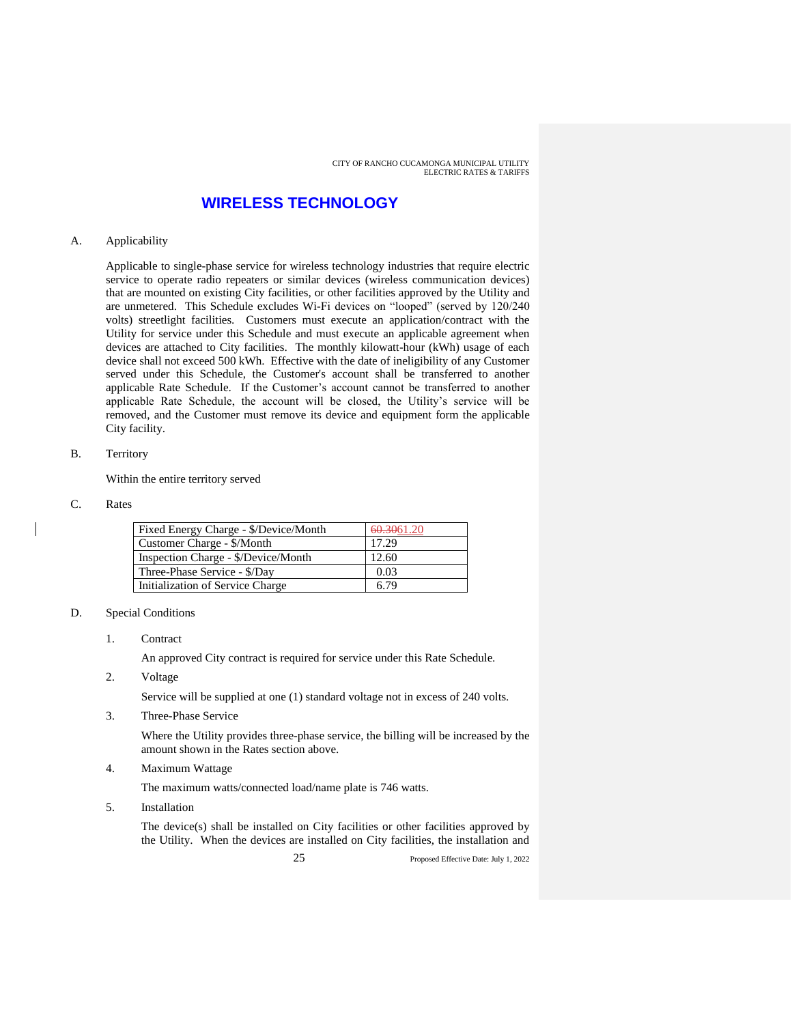### **WIRELESS TECHNOLOGY**

#### A. Applicability

Applicable to single-phase service for wireless technology industries that require electric service to operate radio repeaters or similar devices (wireless communication devices) that are mounted on existing City facilities, or other facilities approved by the Utility and are unmetered. This Schedule excludes Wi-Fi devices on "looped" (served by 120/240 volts) streetlight facilities. Customers must execute an application/contract with the Utility for service under this Schedule and must execute an applicable agreement when devices are attached to City facilities. The monthly kilowatt-hour (kWh) usage of each device shall not exceed 500 kWh. Effective with the date of ineligibility of any Customer served under this Schedule, the Customer's account shall be transferred to another applicable Rate Schedule. If the Customer's account cannot be transferred to another applicable Rate Schedule, the account will be closed, the Utility's service will be removed, and the Customer must remove its device and equipment form the applicable City facility.

#### B. Territory

Within the entire territory served

#### C. Rates

| Fixed Energy Charge - \$/Device/Month | 60.3061.20 |
|---------------------------------------|------------|
| Customer Charge - \$/Month            | 17.29      |
| Inspection Charge - \$/Device/Month   | 12.60      |
| Three-Phase Service - \$/Day          | 0.03       |
| Initialization of Service Charge      | 6.79       |

#### D. Special Conditions

1. Contract

An approved City contract is required for service under this Rate Schedule.

2. Voltage

Service will be supplied at one (1) standard voltage not in excess of 240 volts.

3. Three-Phase Service

Where the Utility provides three-phase service, the billing will be increased by the amount shown in the Rates section above.

4. Maximum Wattage

The maximum watts/connected load/name plate is 746 watts.

5. Installation

The device(s) shall be installed on City facilities or other facilities approved by the Utility. When the devices are installed on City facilities, the installation and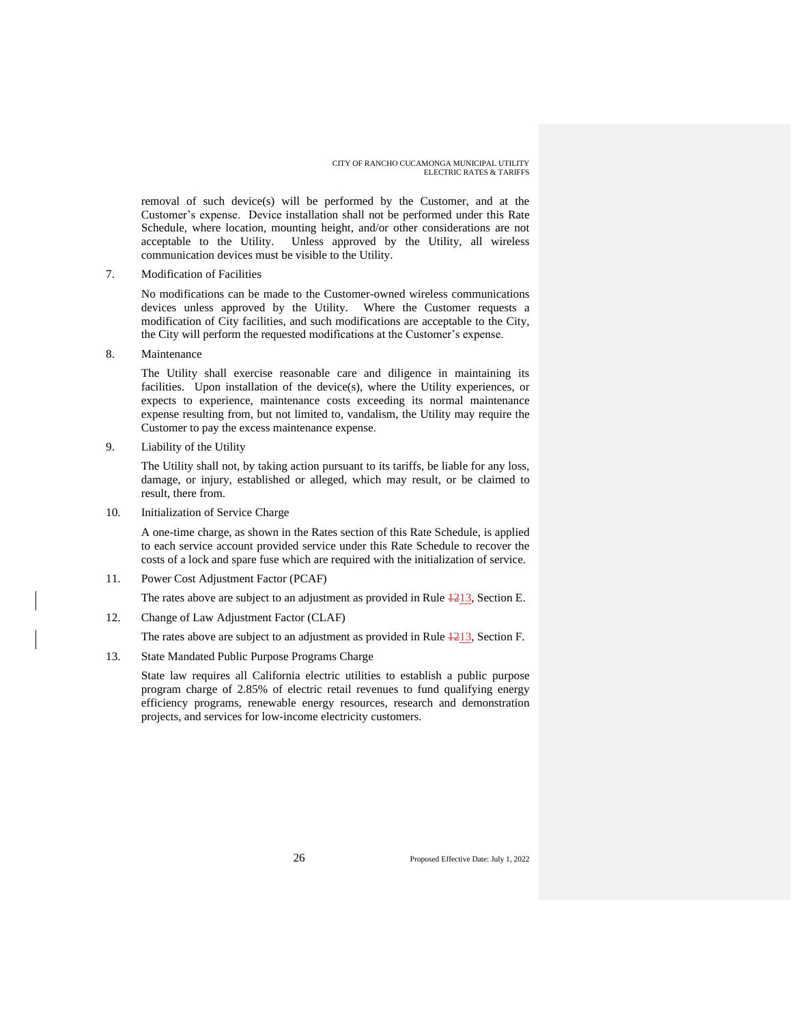removal of such device(s) will be performed by the Customer, and at the Customer's expense. Device installation shall not be performed under this Rate Schedule, where location, mounting height, and/or other considerations are not acceptable to the Utility. Unless approved by the Utility, all wireless communication devices must be visible to the Utility.

7. Modification of Facilities

No modifications can be made to the Customer-owned wireless communications devices unless approved by the Utility. Where the Customer requests a modification of City facilities, and such modifications are acceptable to the City, the City will perform the requested modifications at the Customer's expense.

8. Maintenance

The Utility shall exercise reasonable care and diligence in maintaining its facilities. Upon installation of the device(s), where the Utility experiences, or expects to experience, maintenance costs exceeding its normal maintenance expense resulting from, but not limited to, vandalism, the Utility may require the Customer to pay the excess maintenance expense.

9. Liability of the Utility

The Utility shall not, by taking action pursuant to its tariffs, be liable for any loss, damage, or injury, established or alleged, which may result, or be claimed to result, there from.

10. Initialization of Service Charge

A one-time charge, as shown in the Rates section of this Rate Schedule, is applied to each service account provided service under this Rate Schedule to recover the costs of a lock and spare fuse which are required with the initialization of service.

11. Power Cost Adjustment Factor (PCAF)

The rates above are subject to an adjustment as provided in Rule  $\frac{1213}{2}$ , Section E.

12. Change of Law Adjustment Factor (CLAF)

The rates above are subject to an adjustment as provided in Rule  $\frac{1213}{213}$ , Section F.

13. State Mandated Public Purpose Programs Charge

State law requires all California electric utilities to establish a public purpose program charge of 2.85% of electric retail revenues to fund qualifying energy efficiency programs, renewable energy resources, research and demonstration projects, and services for low-income electricity customers.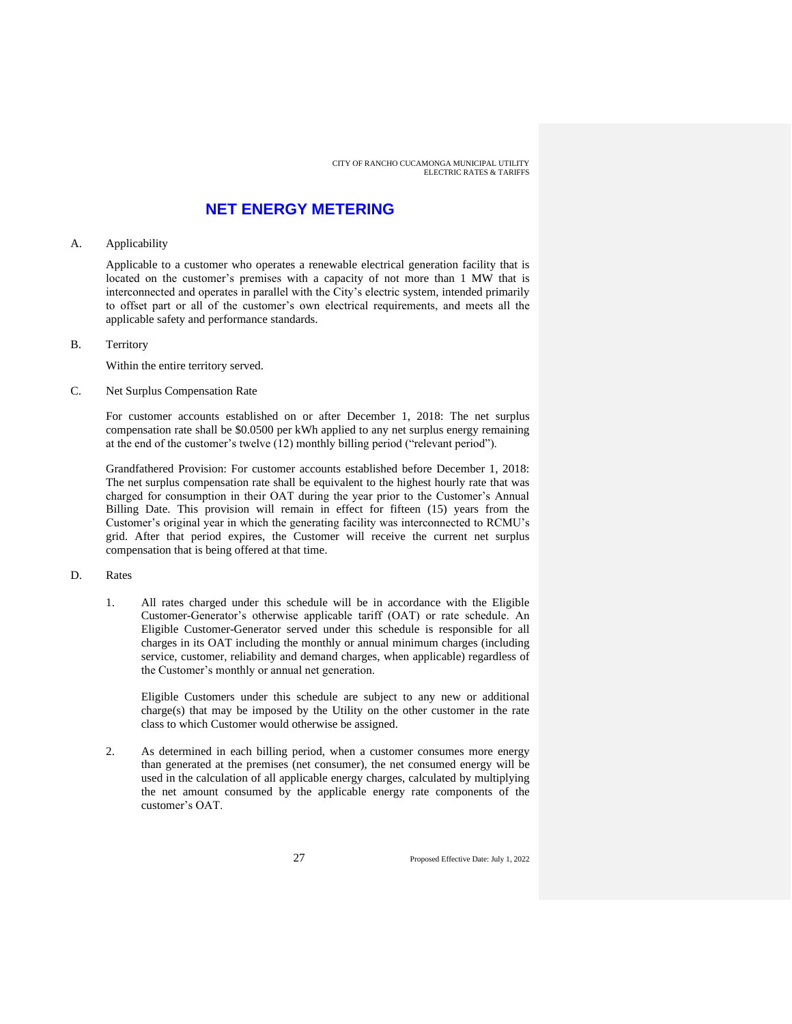### **NET ENERGY METERING**

#### A. Applicability

Applicable to a customer who operates a renewable electrical generation facility that is located on the customer's premises with a capacity of not more than 1 MW that is interconnected and operates in parallel with the City's electric system, intended primarily to offset part or all of the customer's own electrical requirements, and meets all the applicable safety and performance standards.

B. Territory

Within the entire territory served.

C. Net Surplus Compensation Rate

For customer accounts established on or after December 1, 2018: The net surplus compensation rate shall be \$0.0500 per kWh applied to any net surplus energy remaining at the end of the customer's twelve (12) monthly billing period ("relevant period").

Grandfathered Provision: For customer accounts established before December 1, 2018: The net surplus compensation rate shall be equivalent to the highest hourly rate that was charged for consumption in their OAT during the year prior to the Customer's Annual Billing Date. This provision will remain in effect for fifteen (15) years from the Customer's original year in which the generating facility was interconnected to RCMU's grid. After that period expires, the Customer will receive the current net surplus compensation that is being offered at that time.

#### D. Rates

1. All rates charged under this schedule will be in accordance with the Eligible Customer-Generator's otherwise applicable tariff (OAT) or rate schedule. An Eligible Customer-Generator served under this schedule is responsible for all charges in its OAT including the monthly or annual minimum charges (including service, customer, reliability and demand charges, when applicable) regardless of the Customer's monthly or annual net generation.

Eligible Customers under this schedule are subject to any new or additional charge(s) that may be imposed by the Utility on the other customer in the rate class to which Customer would otherwise be assigned.

2. As determined in each billing period, when a customer consumes more energy than generated at the premises (net consumer), the net consumed energy will be used in the calculation of all applicable energy charges, calculated by multiplying the net amount consumed by the applicable energy rate components of the customer's OAT.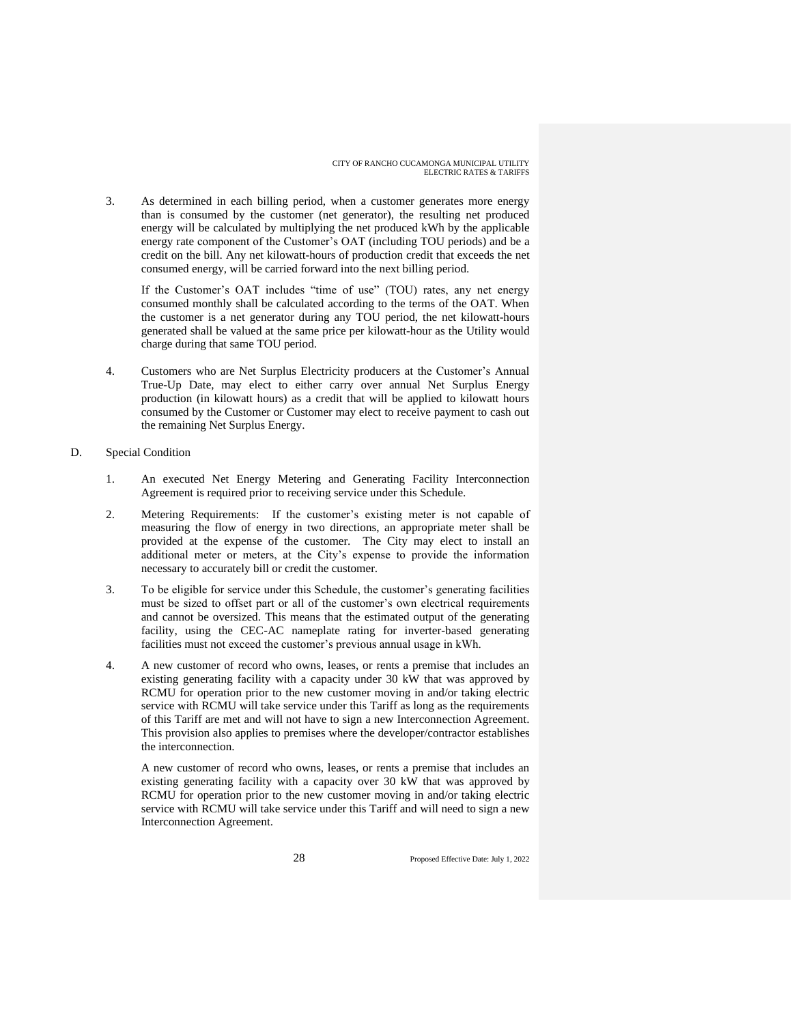3. As determined in each billing period, when a customer generates more energy than is consumed by the customer (net generator), the resulting net produced energy will be calculated by multiplying the net produced kWh by the applicable energy rate component of the Customer's OAT (including TOU periods) and be a credit on the bill. Any net kilowatt-hours of production credit that exceeds the net consumed energy, will be carried forward into the next billing period.

If the Customer's OAT includes "time of use" (TOU) rates, any net energy consumed monthly shall be calculated according to the terms of the OAT. When the customer is a net generator during any TOU period, the net kilowatt-hours generated shall be valued at the same price per kilowatt-hour as the Utility would charge during that same TOU period.

- 4. Customers who are Net Surplus Electricity producers at the Customer's Annual True-Up Date, may elect to either carry over annual Net Surplus Energy production (in kilowatt hours) as a credit that will be applied to kilowatt hours consumed by the Customer or Customer may elect to receive payment to cash out the remaining Net Surplus Energy.
- D. Special Condition
	- 1. An executed Net Energy Metering and Generating Facility Interconnection Agreement is required prior to receiving service under this Schedule.
	- 2. Metering Requirements: If the customer's existing meter is not capable of measuring the flow of energy in two directions, an appropriate meter shall be provided at the expense of the customer. The City may elect to install an additional meter or meters, at the City's expense to provide the information necessary to accurately bill or credit the customer.
	- 3. To be eligible for service under this Schedule, the customer's generating facilities must be sized to offset part or all of the customer's own electrical requirements and cannot be oversized. This means that the estimated output of the generating facility, using the CEC-AC nameplate rating for inverter-based generating facilities must not exceed the customer's previous annual usage in kWh.
	- 4. A new customer of record who owns, leases, or rents a premise that includes an existing generating facility with a capacity under 30 kW that was approved by RCMU for operation prior to the new customer moving in and/or taking electric service with RCMU will take service under this Tariff as long as the requirements of this Tariff are met and will not have to sign a new Interconnection Agreement. This provision also applies to premises where the developer/contractor establishes the interconnection.

A new customer of record who owns, leases, or rents a premise that includes an existing generating facility with a capacity over 30 kW that was approved by RCMU for operation prior to the new customer moving in and/or taking electric service with RCMU will take service under this Tariff and will need to sign a new Interconnection Agreement.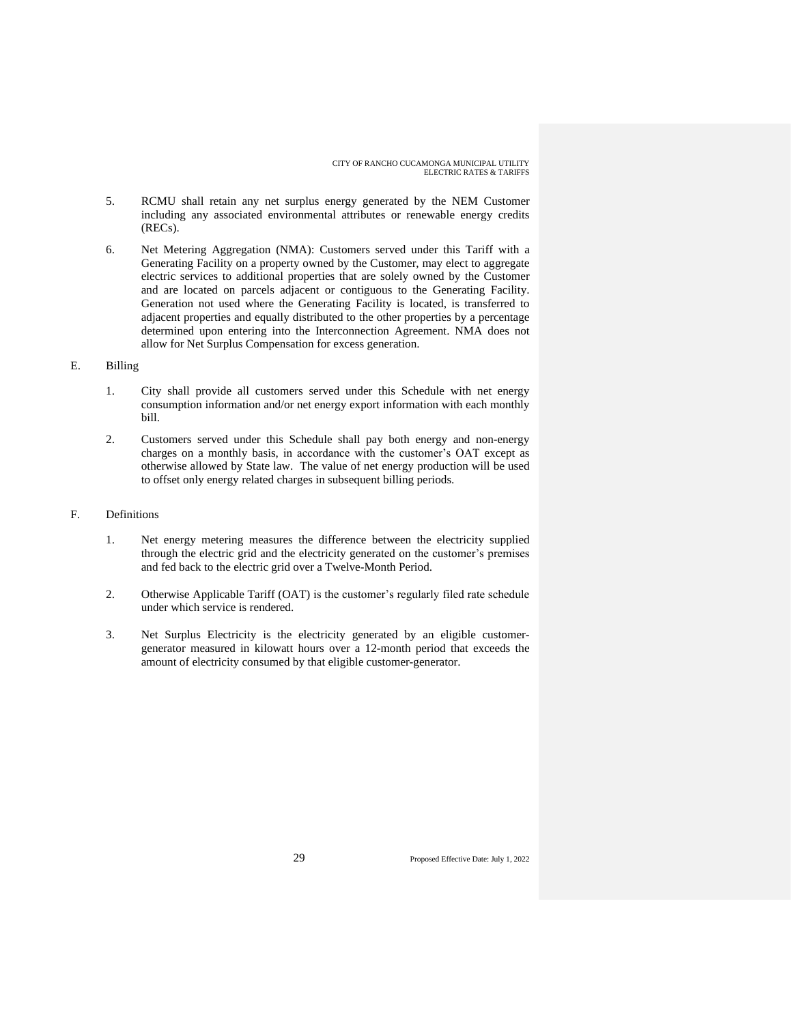- 5. RCMU shall retain any net surplus energy generated by the NEM Customer including any associated environmental attributes or renewable energy credits (RECs).
- 6. Net Metering Aggregation (NMA): Customers served under this Tariff with a Generating Facility on a property owned by the Customer, may elect to aggregate electric services to additional properties that are solely owned by the Customer and are located on parcels adjacent or contiguous to the Generating Facility. Generation not used where the Generating Facility is located, is transferred to adjacent properties and equally distributed to the other properties by a percentage determined upon entering into the Interconnection Agreement. NMA does not allow for Net Surplus Compensation for excess generation.

#### E. Billing

- 1. City shall provide all customers served under this Schedule with net energy consumption information and/or net energy export information with each monthly bill.
- 2. Customers served under this Schedule shall pay both energy and non-energy charges on a monthly basis, in accordance with the customer's OAT except as otherwise allowed by State law. The value of net energy production will be used to offset only energy related charges in subsequent billing periods.

#### F. Definitions

- 1. Net energy metering measures the difference between the electricity supplied through the electric grid and the electricity generated on the customer's premises and fed back to the electric grid over a Twelve-Month Period.
- 2. Otherwise Applicable Tariff (OAT) is the customer's regularly filed rate schedule under which service is rendered.
- 3. Net Surplus Electricity is the electricity generated by an eligible customergenerator measured in kilowatt hours over a 12-month period that exceeds the amount of electricity consumed by that eligible customer-generator.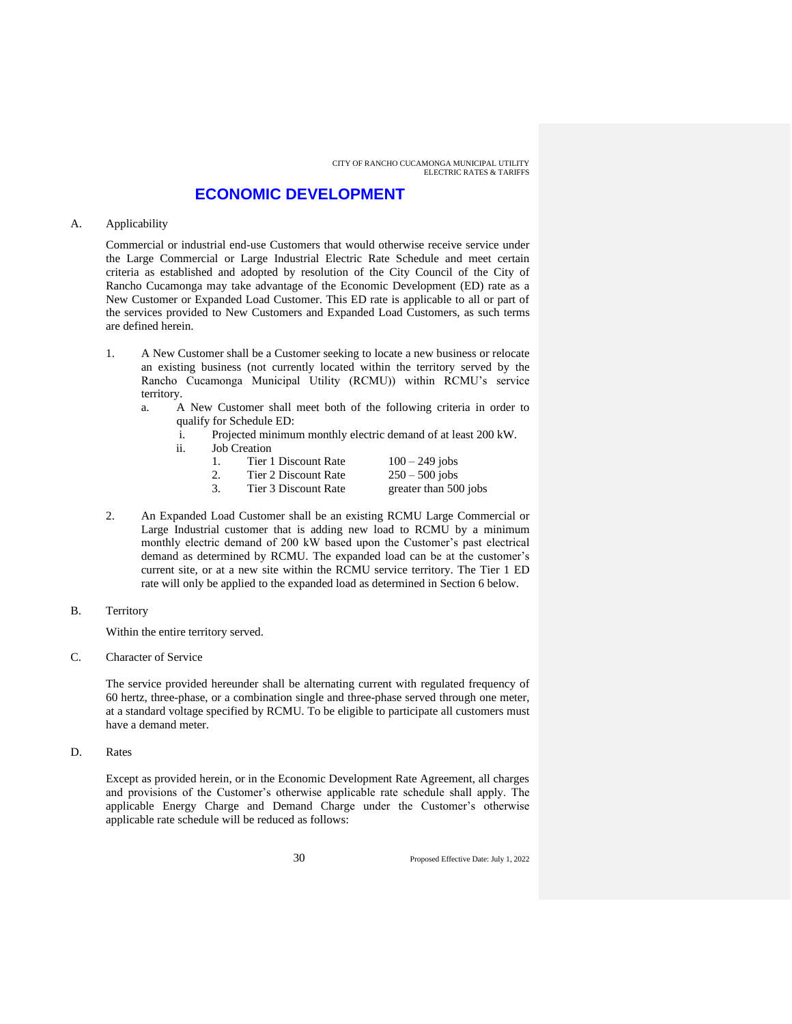### **ECONOMIC DEVELOPMENT**

#### A. Applicability

Commercial or industrial end-use Customers that would otherwise receive service under the Large Commercial or Large Industrial Electric Rate Schedule and meet certain criteria as established and adopted by resolution of the City Council of the City of Rancho Cucamonga may take advantage of the Economic Development (ED) rate as a New Customer or Expanded Load Customer. This ED rate is applicable to all or part of the services provided to New Customers and Expanded Load Customers, as such terms are defined herein.

- 1. A New Customer shall be a Customer seeking to locate a new business or relocate an existing business (not currently located within the territory served by the Rancho Cucamonga Municipal Utility (RCMU)) within RCMU's service territory.
	- a. A New Customer shall meet both of the following criteria in order to qualify for Schedule ED:
		- i. Projected minimum monthly electric demand of at least 200 kW.
		- ii. Job Creation

|    | Tier 1 Discount Rate | $100 - 249$ jobs      |
|----|----------------------|-----------------------|
| 2. | Tier 2 Discount Rate | $250 - 500$ jobs      |
| 3. | Tier 3 Discount Rate | greater than 500 jobs |

- 2. An Expanded Load Customer shall be an existing RCMU Large Commercial or Large Industrial customer that is adding new load to RCMU by a minimum monthly electric demand of 200 kW based upon the Customer's past electrical demand as determined by RCMU. The expanded load can be at the customer's current site, or at a new site within the RCMU service territory. The Tier 1 ED rate will only be applied to the expanded load as determined in Section 6 below.
- B. Territory

Within the entire territory served.

C. Character of Service

The service provided hereunder shall be alternating current with regulated frequency of 60 hertz, three-phase, or a combination single and three-phase served through one meter, at a standard voltage specified by RCMU. To be eligible to participate all customers must have a demand meter.

D. Rates

Except as provided herein, or in the Economic Development Rate Agreement, all charges and provisions of the Customer's otherwise applicable rate schedule shall apply. The applicable Energy Charge and Demand Charge under the Customer's otherwise applicable rate schedule will be reduced as follows: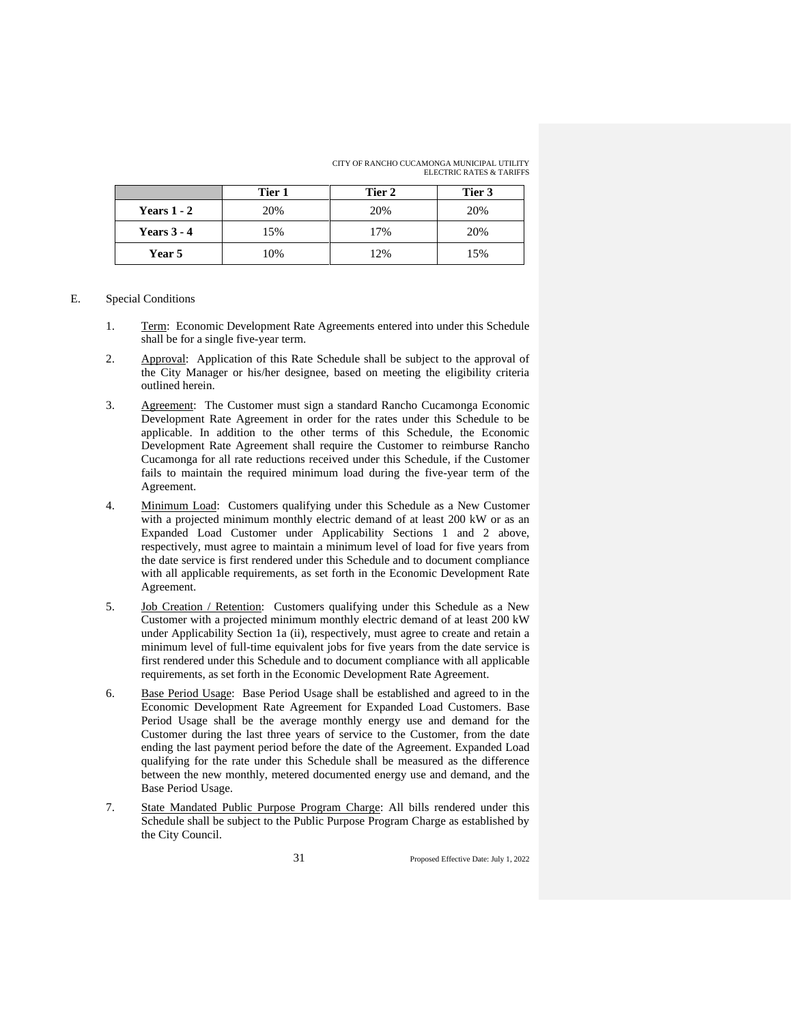CITY OF RANCHO CUCAMONGA MUNICIPAL UTILITY ELECTRIC RATES & TARIFFS

|               | Tier 1 | Tier 2 | Tier 3 |
|---------------|--------|--------|--------|
| Years $1 - 2$ | 20%    | 20%    | 20%    |
| Years $3 - 4$ | 15%    | 17%    | 20%    |
| Year 5        | 10%    | 12%    | 15%    |

#### E. Special Conditions

- 1. Term: Economic Development Rate Agreements entered into under this Schedule shall be for a single five-year term.
- 2. Approval: Application of this Rate Schedule shall be subject to the approval of the City Manager or his/her designee, based on meeting the eligibility criteria outlined herein.
- 3. Agreement: The Customer must sign a standard Rancho Cucamonga Economic Development Rate Agreement in order for the rates under this Schedule to be applicable. In addition to the other terms of this Schedule, the Economic Development Rate Agreement shall require the Customer to reimburse Rancho Cucamonga for all rate reductions received under this Schedule, if the Customer fails to maintain the required minimum load during the five-year term of the Agreement.
- 4. Minimum Load: Customers qualifying under this Schedule as a New Customer with a projected minimum monthly electric demand of at least 200 kW or as an Expanded Load Customer under Applicability Sections 1 and 2 above, respectively, must agree to maintain a minimum level of load for five years from the date service is first rendered under this Schedule and to document compliance with all applicable requirements, as set forth in the Economic Development Rate Agreement.
- 5. Job Creation / Retention: Customers qualifying under this Schedule as a New Customer with a projected minimum monthly electric demand of at least 200 kW under Applicability Section 1a (ii), respectively, must agree to create and retain a minimum level of full-time equivalent jobs for five years from the date service is first rendered under this Schedule and to document compliance with all applicable requirements, as set forth in the Economic Development Rate Agreement.
- 6. Base Period Usage: Base Period Usage shall be established and agreed to in the Economic Development Rate Agreement for Expanded Load Customers. Base Period Usage shall be the average monthly energy use and demand for the Customer during the last three years of service to the Customer, from the date ending the last payment period before the date of the Agreement. Expanded Load qualifying for the rate under this Schedule shall be measured as the difference between the new monthly, metered documented energy use and demand, and the Base Period Usage.
- 7. State Mandated Public Purpose Program Charge: All bills rendered under this Schedule shall be subject to the Public Purpose Program Charge as established by the City Council.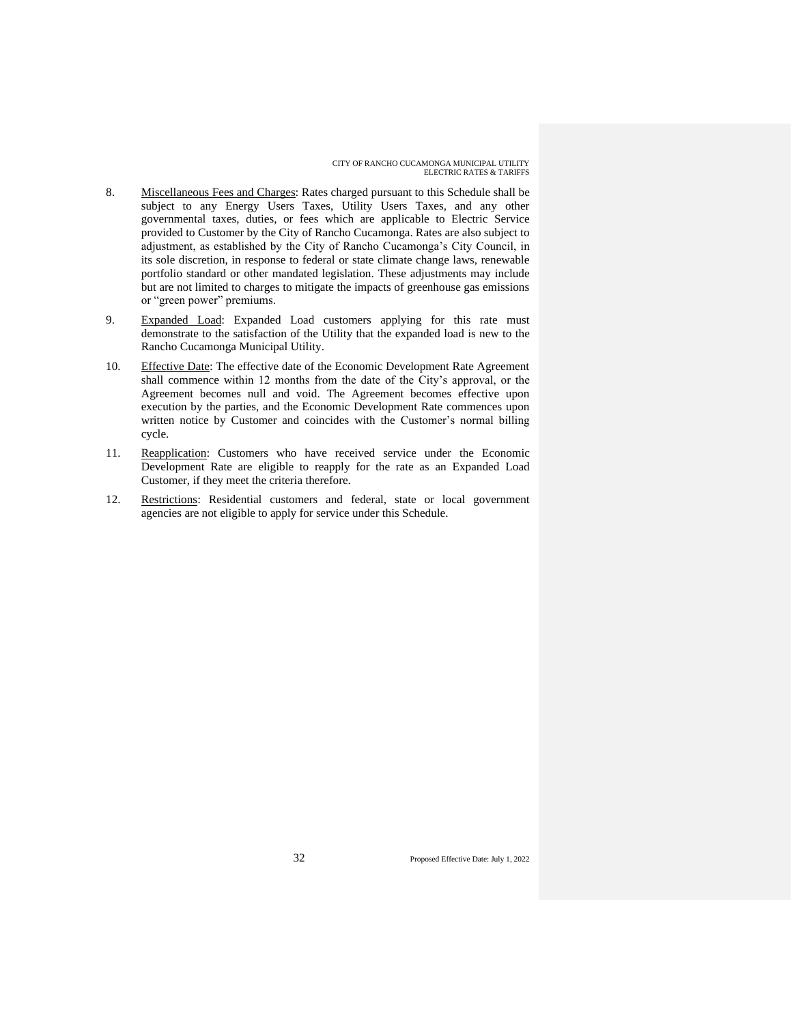- 8. Miscellaneous Fees and Charges: Rates charged pursuant to this Schedule shall be subject to any Energy Users Taxes, Utility Users Taxes, and any other governmental taxes, duties, or fees which are applicable to Electric Service provided to Customer by the City of Rancho Cucamonga. Rates are also subject to adjustment, as established by the City of Rancho Cucamonga's City Council, in its sole discretion, in response to federal or state climate change laws, renewable portfolio standard or other mandated legislation. These adjustments may include but are not limited to charges to mitigate the impacts of greenhouse gas emissions or "green power" premiums.
- 9. Expanded Load: Expanded Load customers applying for this rate must demonstrate to the satisfaction of the Utility that the expanded load is new to the Rancho Cucamonga Municipal Utility.
- 10. Effective Date: The effective date of the Economic Development Rate Agreement shall commence within 12 months from the date of the City's approval, or the Agreement becomes null and void. The Agreement becomes effective upon execution by the parties, and the Economic Development Rate commences upon written notice by Customer and coincides with the Customer's normal billing cycle.
- 11. Reapplication: Customers who have received service under the Economic Development Rate are eligible to reapply for the rate as an Expanded Load Customer, if they meet the criteria therefore.
- 12. Restrictions: Residential customers and federal, state or local government agencies are not eligible to apply for service under this Schedule.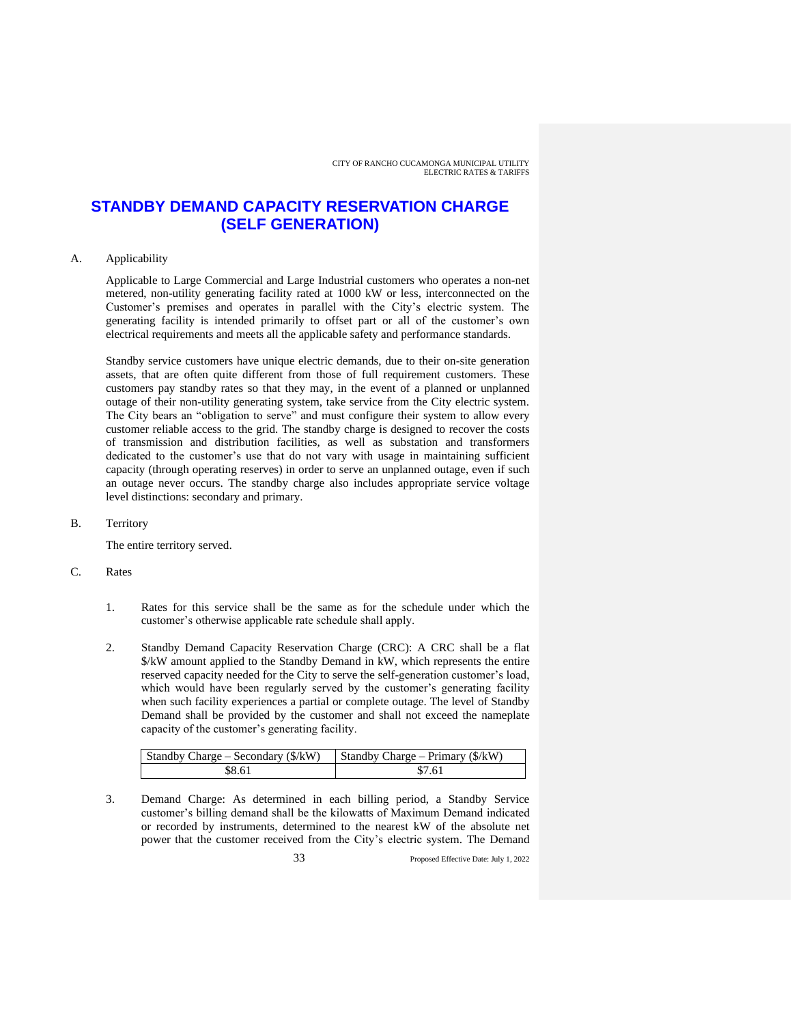### **STANDBY DEMAND CAPACITY RESERVATION CHARGE (SELF GENERATION)**

#### A. Applicability

Applicable to Large Commercial and Large Industrial customers who operates a non-net metered, non-utility generating facility rated at 1000 kW or less, interconnected on the Customer's premises and operates in parallel with the City's electric system. The generating facility is intended primarily to offset part or all of the customer's own electrical requirements and meets all the applicable safety and performance standards.

Standby service customers have unique electric demands, due to their on-site generation assets, that are often quite different from those of full requirement customers. These customers pay standby rates so that they may, in the event of a planned or unplanned outage of their non-utility generating system, take service from the City electric system. The City bears an "obligation to serve" and must configure their system to allow every customer reliable access to the grid. The standby charge is designed to recover the costs of transmission and distribution facilities, as well as substation and transformers dedicated to the customer's use that do not vary with usage in maintaining sufficient capacity (through operating reserves) in order to serve an unplanned outage, even if such an outage never occurs. The standby charge also includes appropriate service voltage level distinctions: secondary and primary.

B. Territory

The entire territory served.

- C. Rates
	- 1. Rates for this service shall be the same as for the schedule under which the customer's otherwise applicable rate schedule shall apply.
	- 2. Standby Demand Capacity Reservation Charge (CRC): A CRC shall be a flat \$/kW amount applied to the Standby Demand in kW, which represents the entire reserved capacity needed for the City to serve the self-generation customer's load, which would have been regularly served by the customer's generating facility when such facility experiences a partial or complete outage. The level of Standby Demand shall be provided by the customer and shall not exceed the nameplate capacity of the customer's generating facility.

| Standby Charge – Secondary $(\frac{f}{k}W)$ | Standby Charge – Primary $(\frac{8}{kW})$ |
|---------------------------------------------|-------------------------------------------|
| \$8.61                                      | \$7.61                                    |

3. Demand Charge: As determined in each billing period, a Standby Service customer's billing demand shall be the kilowatts of Maximum Demand indicated or recorded by instruments, determined to the nearest kW of the absolute net power that the customer received from the City's electric system. The Demand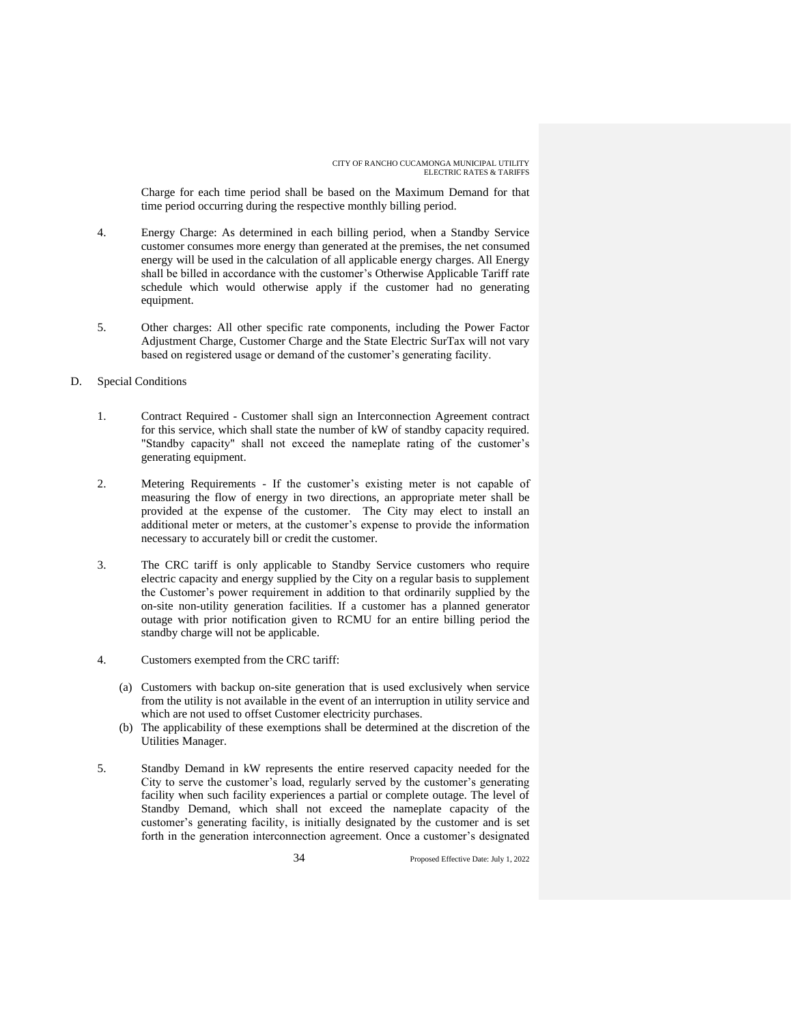Charge for each time period shall be based on the Maximum Demand for that time period occurring during the respective monthly billing period.

- 4. Energy Charge: As determined in each billing period, when a Standby Service customer consumes more energy than generated at the premises, the net consumed energy will be used in the calculation of all applicable energy charges. All Energy shall be billed in accordance with the customer's Otherwise Applicable Tariff rate schedule which would otherwise apply if the customer had no generating equipment.
- 5. Other charges: All other specific rate components, including the Power Factor Adjustment Charge, Customer Charge and the State Electric SurTax will not vary based on registered usage or demand of the customer's generating facility.
- D. Special Conditions
	- 1. Contract Required Customer shall sign an Interconnection Agreement contract for this service, which shall state the number of kW of standby capacity required. "Standby capacity" shall not exceed the nameplate rating of the customer's generating equipment.
	- 2. Metering Requirements If the customer's existing meter is not capable of measuring the flow of energy in two directions, an appropriate meter shall be provided at the expense of the customer. The City may elect to install an additional meter or meters, at the customer's expense to provide the information necessary to accurately bill or credit the customer.
	- 3. The CRC tariff is only applicable to Standby Service customers who require electric capacity and energy supplied by the City on a regular basis to supplement the Customer's power requirement in addition to that ordinarily supplied by the on-site non-utility generation facilities. If a customer has a planned generator outage with prior notification given to RCMU for an entire billing period the standby charge will not be applicable.
	- 4. Customers exempted from the CRC tariff:
		- (a) Customers with backup on-site generation that is used exclusively when service from the utility is not available in the event of an interruption in utility service and which are not used to offset Customer electricity purchases.
		- (b) The applicability of these exemptions shall be determined at the discretion of the Utilities Manager.
	- 5. Standby Demand in kW represents the entire reserved capacity needed for the City to serve the customer's load, regularly served by the customer's generating facility when such facility experiences a partial or complete outage. The level of Standby Demand, which shall not exceed the nameplate capacity of the customer's generating facility, is initially designated by the customer and is set forth in the generation interconnection agreement. Once a customer's designated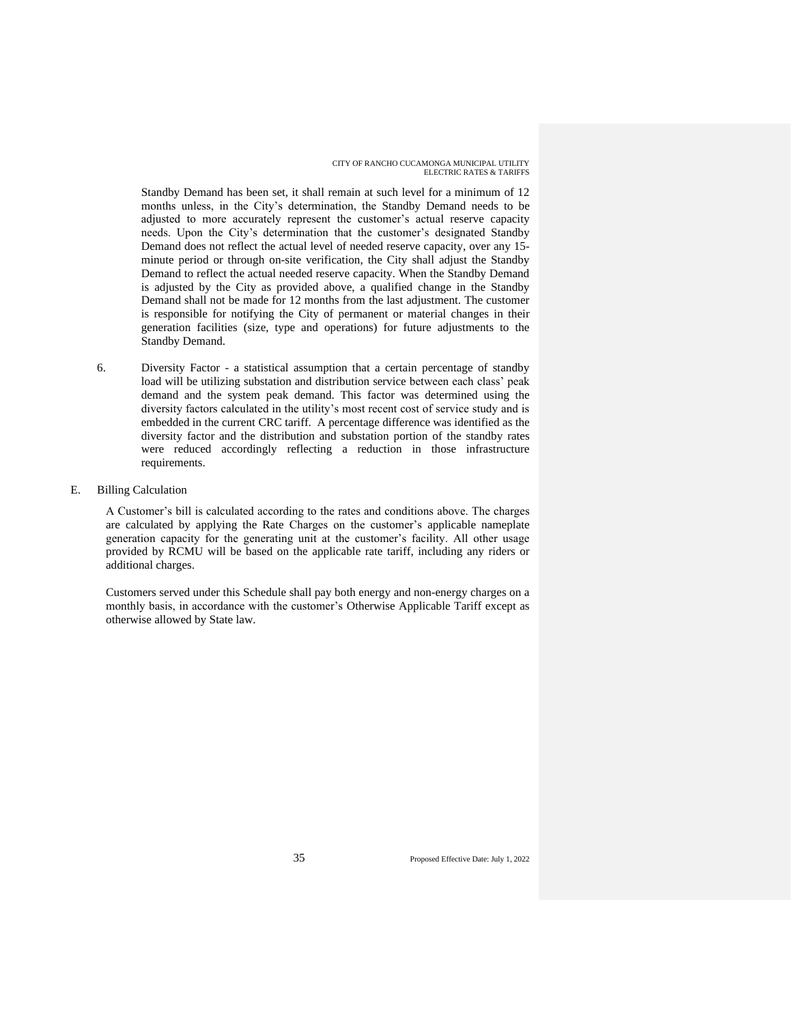Standby Demand has been set, it shall remain at such level for a minimum of 12 months unless, in the City's determination, the Standby Demand needs to be adjusted to more accurately represent the customer's actual reserve capacity needs. Upon the City's determination that the customer's designated Standby Demand does not reflect the actual level of needed reserve capacity, over any 15 minute period or through on-site verification, the City shall adjust the Standby Demand to reflect the actual needed reserve capacity. When the Standby Demand is adjusted by the City as provided above, a qualified change in the Standby Demand shall not be made for 12 months from the last adjustment. The customer is responsible for notifying the City of permanent or material changes in their generation facilities (size, type and operations) for future adjustments to the Standby Demand.

- 6. Diversity Factor a statistical assumption that a certain percentage of standby load will be utilizing substation and distribution service between each class' peak demand and the system peak demand. This factor was determined using the diversity factors calculated in the utility's most recent cost of service study and is embedded in the current CRC tariff. A percentage difference was identified as the diversity factor and the distribution and substation portion of the standby rates were reduced accordingly reflecting a reduction in those infrastructure requirements.
- E. Billing Calculation

A Customer's bill is calculated according to the rates and conditions above. The charges are calculated by applying the Rate Charges on the customer's applicable nameplate generation capacity for the generating unit at the customer's facility. All other usage provided by RCMU will be based on the applicable rate tariff, including any riders or additional charges.

Customers served under this Schedule shall pay both energy and non-energy charges on a monthly basis, in accordance with the customer's Otherwise Applicable Tariff except as otherwise allowed by State law.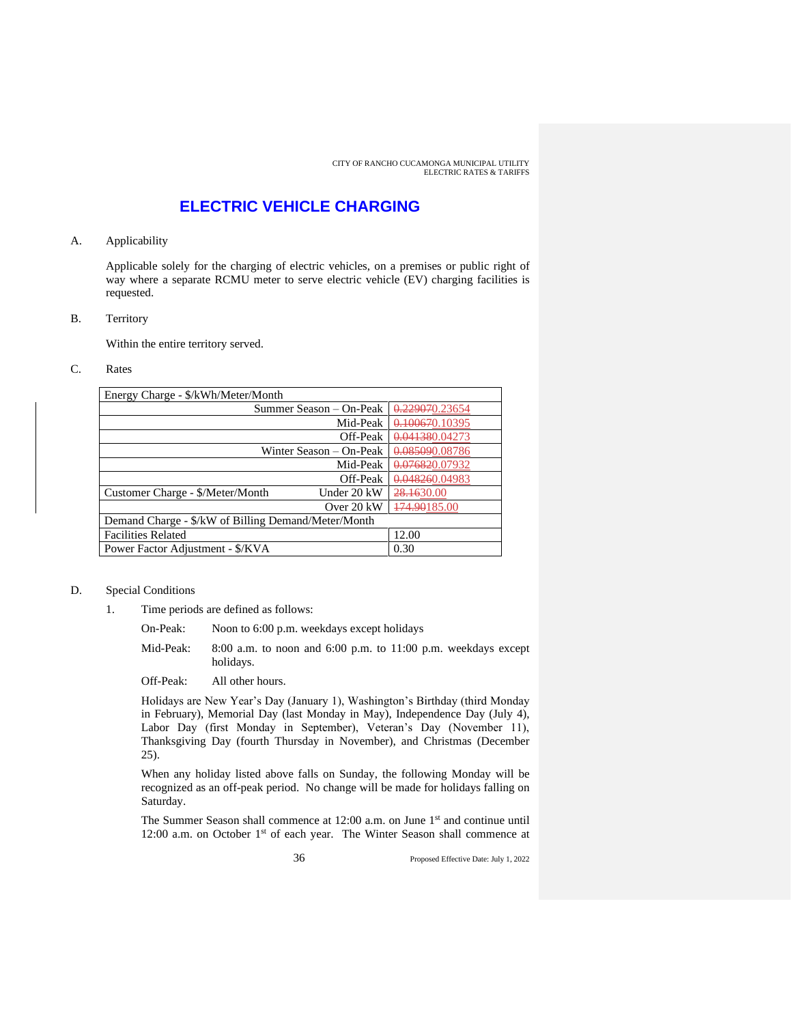### **ELECTRIC VEHICLE CHARGING**

#### A. Applicability

Applicable solely for the charging of electric vehicles, on a premises or public right of way where a separate RCMU meter to serve electric vehicle (EV) charging facilities is requested.

#### B. Territory

Within the entire territory served.

#### C. Rates

| Energy Charge - \$/kWh/Meter/Month                  |                         |                |
|-----------------------------------------------------|-------------------------|----------------|
|                                                     | Summer Season – On-Peak | 0.229070.23654 |
|                                                     | Mid-Peak                | 0.100670.10395 |
|                                                     | Off-Peak                | 0.041380.04273 |
|                                                     | Winter Season – On-Peak | 0.085090.08786 |
|                                                     | Mid-Peak                | 0.076820.07932 |
|                                                     | Off-Peak                | 0.048260.04983 |
| Customer Charge - \$/Meter/Month                    | Under 20 kW             | 28.1630.00     |
|                                                     | Over 20 kW              | 174.90185.00   |
| Demand Charge - \$/kW of Billing Demand/Meter/Month |                         |                |
| <b>Facilities Related</b>                           |                         | 12.00          |
| Power Factor Adjustment - \$/KVA                    |                         | 0.30           |

#### D. Special Conditions

- 1. Time periods are defined as follows:
	- On-Peak: Noon to 6:00 p.m. weekdays except holidays
	- Mid-Peak: 8:00 a.m. to noon and 6:00 p.m. to 11:00 p.m. weekdays except holidays.
	- Off-Peak: All other hours.

Holidays are New Year's Day (January 1), Washington's Birthday (third Monday in February), Memorial Day (last Monday in May), Independence Day (July 4), Labor Day (first Monday in September), Veteran's Day (November 11), Thanksgiving Day (fourth Thursday in November), and Christmas (December 25).

When any holiday listed above falls on Sunday, the following Monday will be recognized as an off-peak period. No change will be made for holidays falling on Saturday.

The Summer Season shall commence at 12:00 a.m. on June 1<sup>st</sup> and continue until 12:00 a.m. on October  $1<sup>st</sup>$  of each year. The Winter Season shall commence at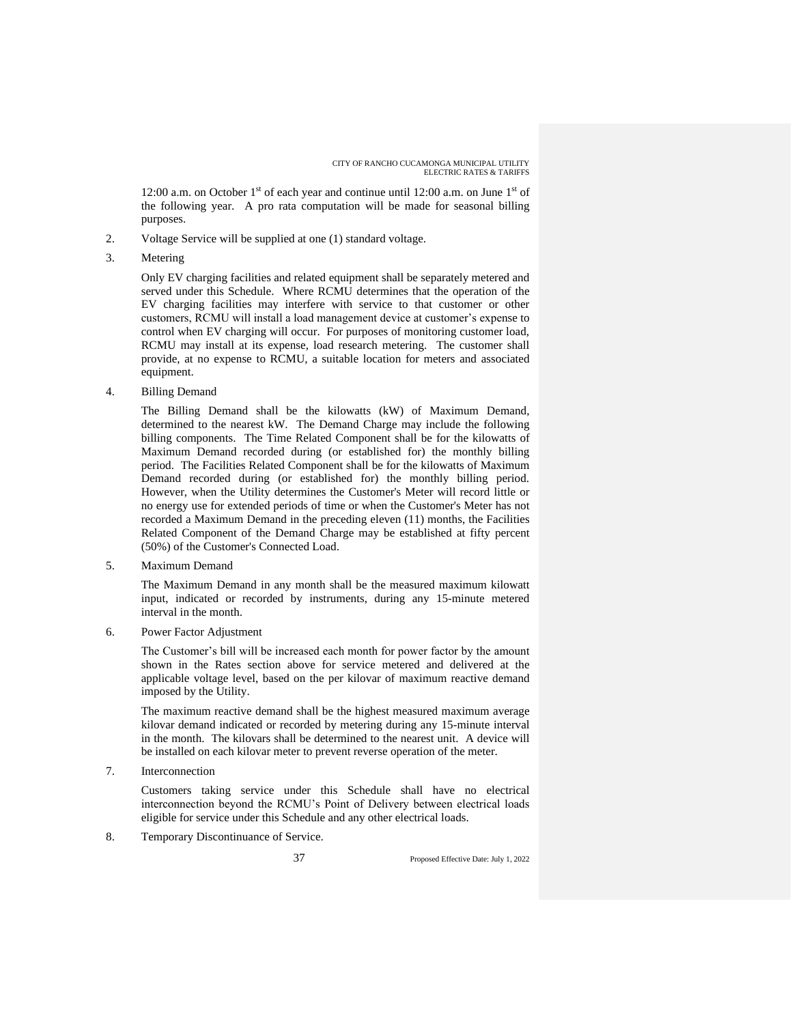12:00 a.m. on October 1<sup>st</sup> of each year and continue until 12:00 a.m. on June 1<sup>st</sup> of the following year. A pro rata computation will be made for seasonal billing purposes.

- 2. Voltage Service will be supplied at one (1) standard voltage.
- 3. Metering

Only EV charging facilities and related equipment shall be separately metered and served under this Schedule. Where RCMU determines that the operation of the EV charging facilities may interfere with service to that customer or other customers, RCMU will install a load management device at customer's expense to control when EV charging will occur. For purposes of monitoring customer load, RCMU may install at its expense, load research metering. The customer shall provide, at no expense to RCMU, a suitable location for meters and associated equipment.

4. Billing Demand

The Billing Demand shall be the kilowatts (kW) of Maximum Demand, determined to the nearest kW. The Demand Charge may include the following billing components. The Time Related Component shall be for the kilowatts of Maximum Demand recorded during (or established for) the monthly billing period. The Facilities Related Component shall be for the kilowatts of Maximum Demand recorded during (or established for) the monthly billing period. However, when the Utility determines the Customer's Meter will record little or no energy use for extended periods of time or when the Customer's Meter has not recorded a Maximum Demand in the preceding eleven (11) months, the Facilities Related Component of the Demand Charge may be established at fifty percent (50%) of the Customer's Connected Load.

5. Maximum Demand

The Maximum Demand in any month shall be the measured maximum kilowatt input, indicated or recorded by instruments, during any 15-minute metered interval in the month.

6. Power Factor Adjustment

The Customer's bill will be increased each month for power factor by the amount shown in the Rates section above for service metered and delivered at the applicable voltage level, based on the per kilovar of maximum reactive demand imposed by the Utility.

The maximum reactive demand shall be the highest measured maximum average kilovar demand indicated or recorded by metering during any 15-minute interval in the month. The kilovars shall be determined to the nearest unit. A device will be installed on each kilovar meter to prevent reverse operation of the meter.

7. Interconnection

Customers taking service under this Schedule shall have no electrical interconnection beyond the RCMU's Point of Delivery between electrical loads eligible for service under this Schedule and any other electrical loads.

8. Temporary Discontinuance of Service.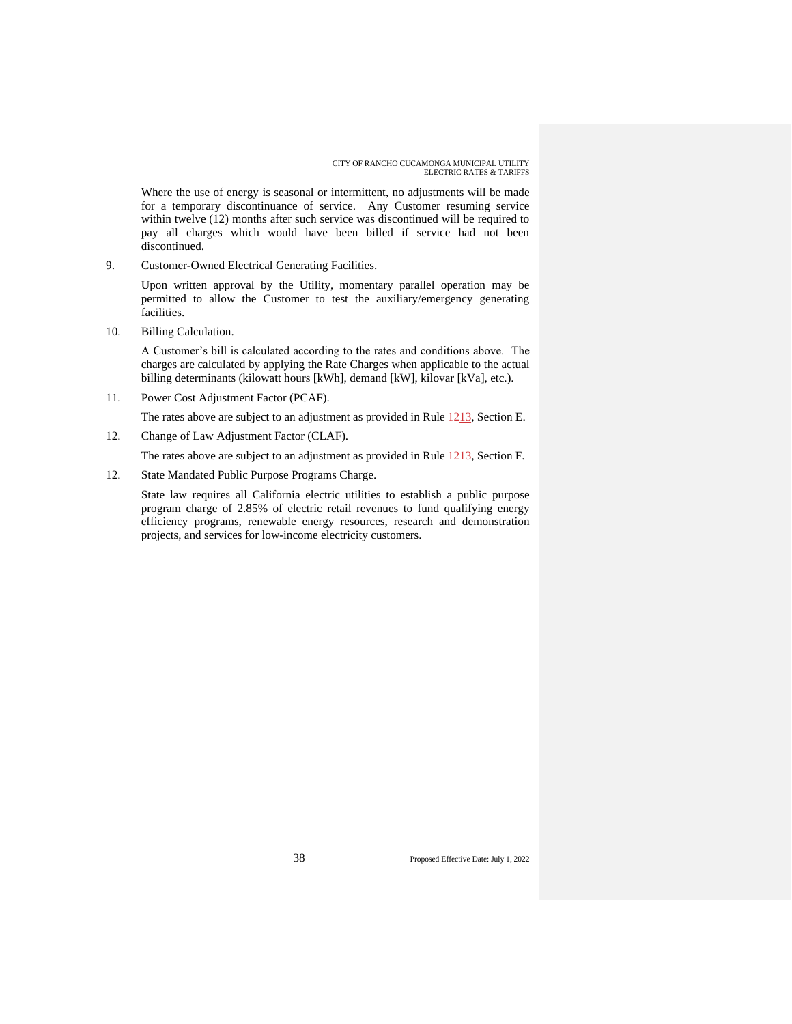Where the use of energy is seasonal or intermittent, no adjustments will be made for a temporary discontinuance of service. Any Customer resuming service within twelve (12) months after such service was discontinued will be required to pay all charges which would have been billed if service had not been discontinued.

9. Customer-Owned Electrical Generating Facilities.

Upon written approval by the Utility, momentary parallel operation may be permitted to allow the Customer to test the auxiliary/emergency generating facilities.

10. Billing Calculation.

A Customer's bill is calculated according to the rates and conditions above. The charges are calculated by applying the Rate Charges when applicable to the actual billing determinants (kilowatt hours [kWh], demand [kW], kilovar [kVa], etc.).

11. Power Cost Adjustment Factor (PCAF).

The rates above are subject to an adjustment as provided in Rule  $\frac{1213}{2}$ , Section E.

12. Change of Law Adjustment Factor (CLAF).

The rates above are subject to an adjustment as provided in Rule  $\frac{1213}{2}$ , Section F.

12. State Mandated Public Purpose Programs Charge.

State law requires all California electric utilities to establish a public purpose program charge of 2.85% of electric retail revenues to fund qualifying energy efficiency programs, renewable energy resources, research and demonstration projects, and services for low-income electricity customers.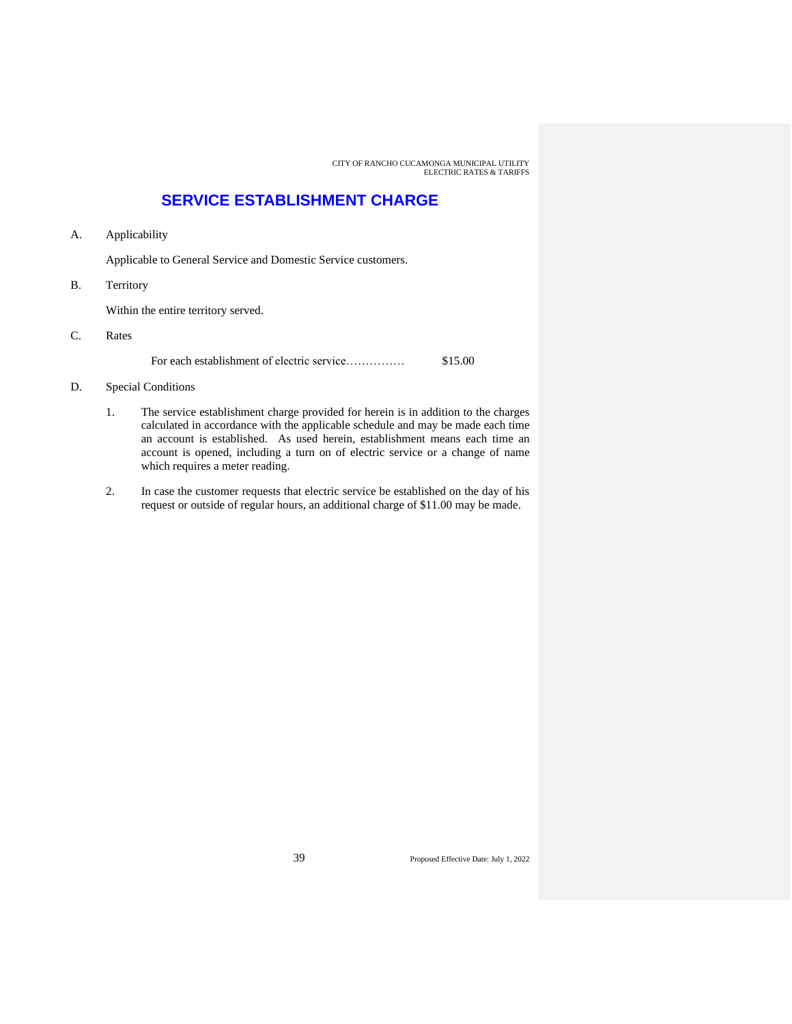### **SERVICE ESTABLISHMENT CHARGE**

A. Applicability

Applicable to General Service and Domestic Service customers.

B. Territory

Within the entire territory served.

C. Rates

For each establishment of electric service…………… \$15.00

- D. Special Conditions
	- 1. The service establishment charge provided for herein is in addition to the charges calculated in accordance with the applicable schedule and may be made each time an account is established. As used herein, establishment means each time an account is opened, including a turn on of electric service or a change of name which requires a meter reading.
	- 2. In case the customer requests that electric service be established on the day of his request or outside of regular hours, an additional charge of \$11.00 may be made.